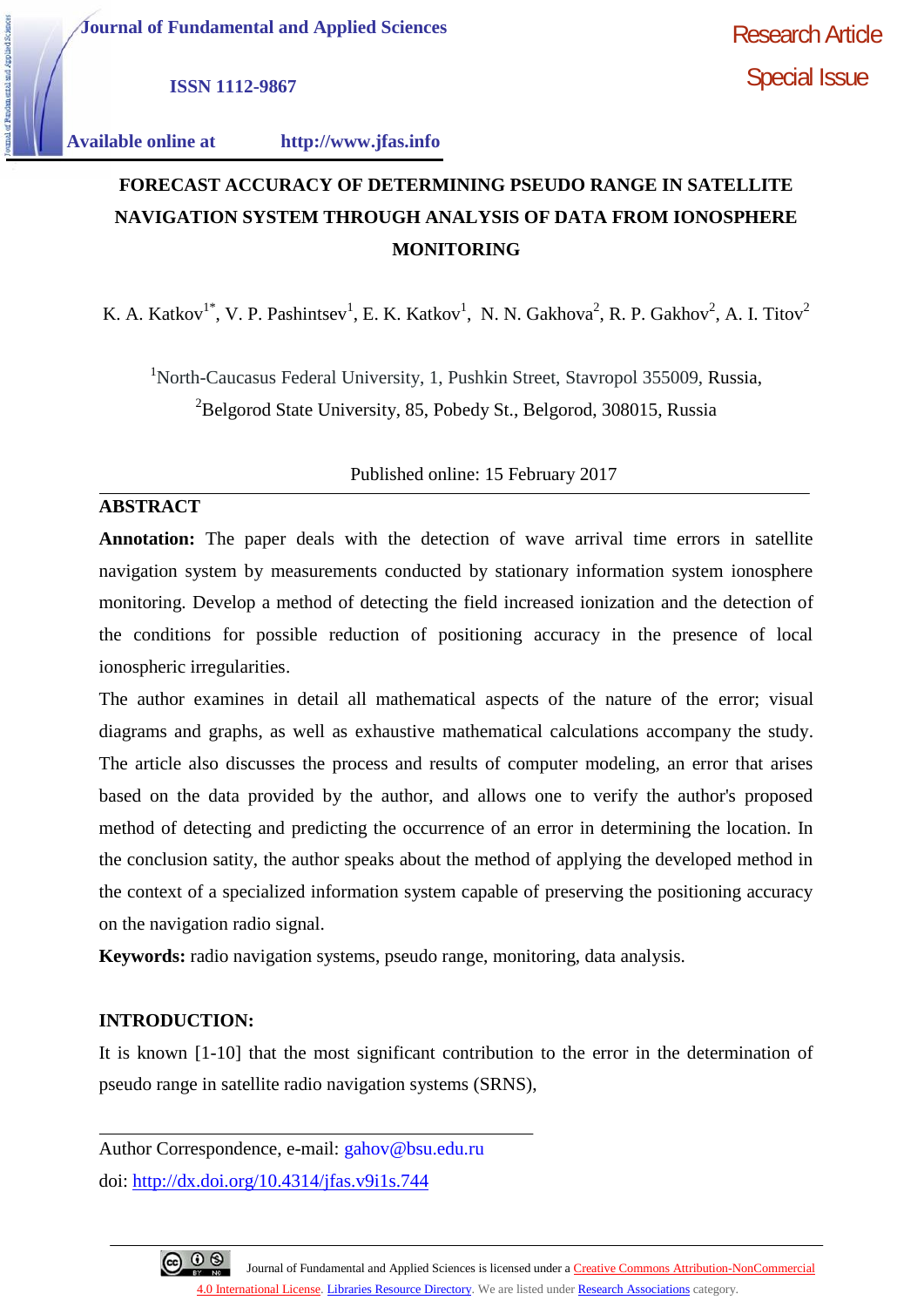**ISSN 1112-9867**

**Available online at http://www.jfas.info**

# **FORECAST ACCURACY OF DETERMINING PSEUDO RANGE IN SATELLITE NAVIGATION SYSTEM THROUGH ANALYSIS OF DATA FROM IONOSPHERE MONITORING**

K. A. Katkov<sup>1\*</sup>, V. P. Pashintsev<sup>1</sup>, E. K. Katkov<sup>1</sup>, N. N. Gakhova<sup>2</sup>, R. P. Gakhov<sup>2</sup>, A. I. Titov<sup>2</sup>

<sup>1</sup>North-Caucasus Federal University, 1, Pushkin Street, Stavropol 355009, Russia,  $^{2}$ Belgorod State University, 85, Pobedy St., Belgorod, 308015, Russia

Published online: 15 February 2017

## **ABSTRACT**

**Annotation:** The paper deals with the detection of wave arrival time errors in satellite navigation system by measurements conducted by stationary information system ionosphere monitoring. Develop a method of detecting the field increased ionization and the detection of the conditions for possible reduction of positioning accuracy in the presence of local ionospheric irregularities.

The author examines in detail all mathematical aspects of the nature of the error; visual diagrams and graphs, as well as exhaustive mathematical calculations accompany the study. The article also discusses the process and results of computer modeling, an error that arises based on the data provided by the author, and allows one to verify the author's proposed method of detecting and predicting the occurrence of an error in determining the location. In the conclusion satity, the author speaks about the method of applying the developed method in the context of a specialized information system capable of preserving the positioning accuracy on the navigation radio signal.

**Keywords:** radio navigation systems, pseudo range, monitoring, data analysis.

## **INTRODUCTION:**

It is known [1-10] that the most significant contribution to the error in the determination of pseudo range in satellite radio navigation systems (SRNS),

Author Correspondence, e-mail: gahov@bsu.edu.ru doi: http://dx.doi.org/10.4314/jfas.v9i1s.744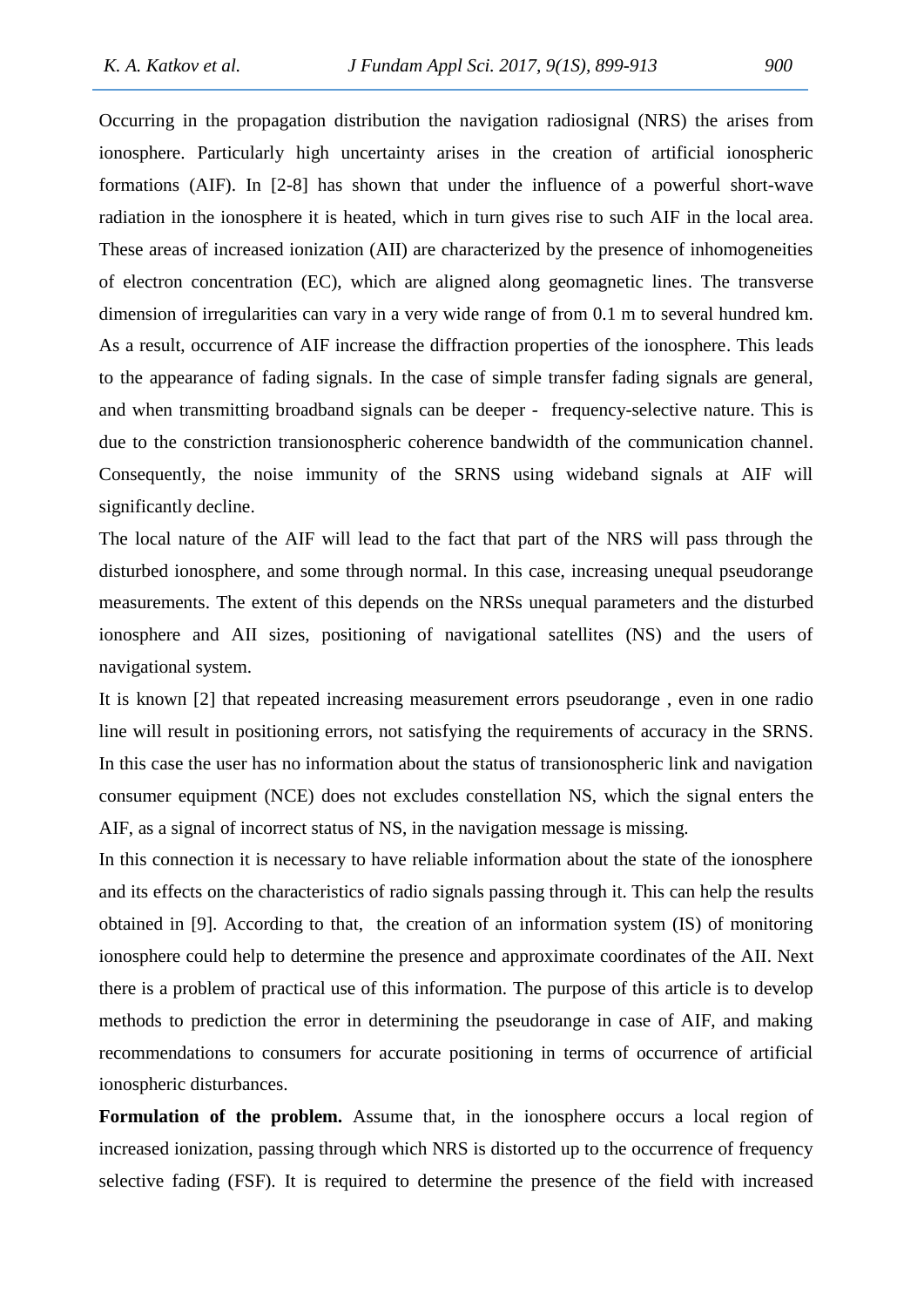Occurring in the propagation distribution the navigation radiosignal (NRS) the arises from ionosphere. Particularly high uncertainty arises in the creation of artificial ionospheric formations (AIF). In [2-8] has shown that under the influence of a powerful short-wave radiation in the ionosphere it is heated, which in turn gives rise to such AIF in the local area. These areas of increased ionization (AII) are characterized by the presence of inhomogeneities of electron concentration (EC), which are aligned along geomagnetic lines. The transverse dimension of irregularities can vary in a very wide range of from 0.1 m to several hundred km. As a result, occurrence of AIF increase the diffraction properties of the ionosphere. This leads to the appearance of fading signals. In the case of simple transfer fading signals are general, and when transmitting broadband signals can be deeper - frequency-selective nature. This is due to the constriction transionospheric coherence bandwidth of the communication channel. Consequently, the noise immunity of the SRNS using wideband signals at AIF will significantly decline.

The local nature of the AIF will lead to the fact that part of the NRS will pass through the disturbed ionosphere, and some through normal. In this case, increasing unequal pseudorange measurements. The extent of this depends on the NRSs unequal parameters and the disturbed ionosphere and AII sizes, positioning of navigational satellites (NS) and the users of navigational system.

It is known [2] that repeated increasing measurement errors pseudorange , even in one radio line will result in positioning errors, not satisfying the requirements of accuracy in the SRNS. In this case the user has no information about the status of transionospheric link and navigation consumer equipment (NCE) does not excludes constellation NS, which the signal enters the AIF, as a signal of incorrect status of NS, in the navigation message is missing.

In this connection it is necessary to have reliable information about the state of the ionosphere and its effects on the characteristics of radio signals passing through it. This can help the results obtained in [9]. According to that, the creation of an information system (IS) of monitoring ionosphere could help to determine the presence and approximate coordinates of the AII. Next there is a problem of practical use of this information. The purpose of this article is to develop methods to prediction the error in determining the pseudorange in case of AIF, and making recommendations to consumers for accurate positioning in terms of occurrence of artificial ionospheric disturbances.

**Formulation of the problem.** Assume that, in the ionosphere occurs a local region of increased ionization, passing through which NRS is distorted up to the occurrence of frequency selective fading (FSF). It is required to determine the presence of the field with increased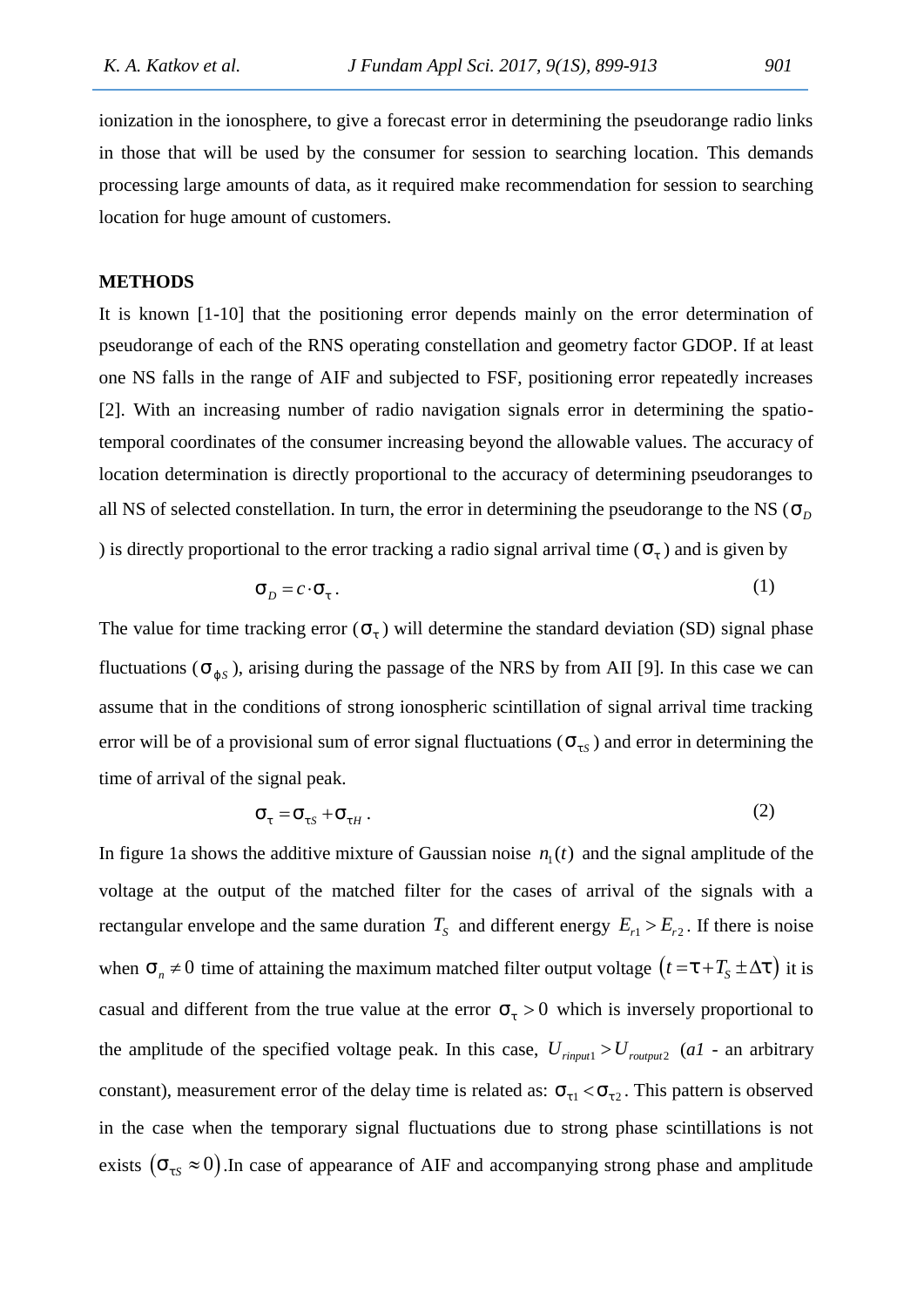ionization in the ionosphere, to give a forecast error in determining the pseudorange radio links in those that will be used by the consumer for session to searching location. This demands processing large amounts of data, as it required make recommendation for session to searching location for huge amount of customers.

## **METHODS**

It is known [1-10] that the positioning error depends mainly on the error determination of pseudorange of each of the RNS operating constellation and geometry factor GDOP. If at least one NS falls in the range of AIF and subjected to FSF, positioning error repeatedly increases [2]. With an increasing number of radio navigation signals error in determining the spatiotemporal coordinates of the consumer increasing beyond the allowable values. The accuracy of location determination is directly proportional to the accuracy of determining pseudoranges to all NS of selected constellation. In turn, the error in determining the pseudorange to the NS ( $\uparrow$ <sub>n</sub>) ) is directly proportional to the error tracking a radio signal arrival time ( $\uparrow$ <sub>†</sub>) and is given by sphere, to give a forecast error in determining the pseudorange radio links<br>used by the consumer for session to searching location. This demands<br>ounts of data, as it required make recommendation for session to searching<br>o of the RNS operating constellation and geometry factor GDOP. If at least<br>ange of AIF and subjected to FSF, positioning error repeatedly increases<br>ing number of radio navigation signals error in determining the spatio-<br>of

$$
\dagger_p = \cdot \dagger_t \,. \tag{1}
$$

The value for time tracking error  $(\dagger)$  will determine the standard deviation (SD) signal phase fluctuations ( $\uparrow$ <sub>(s</sub>), arising during the passage of the NRS by from AII [9]. In this case we can assume that in the conditions of strong ionospheric scintillation of signal arrival time tracking error will be of a provisional sum of error signal fluctuations ( $\uparrow$ <sub>15</sub>) and error in determining the time of arrival of the signal peak. 121. With an increasing number of radio navigation signals error in determining the spatio-<br>temporal coordinates of the consumer increasing beyond the allowable values. The accuracy of<br>olecation determination is directly

$$
\dagger_{\dagger} = \dagger_{\dagger s} + \dagger_{\dagger H} \tag{2}
$$

voltage at the output of the matched filter for the cases of arrival of the signals with a rectangular envelope and the same duration  $T_s$  and different energy  $E_{r1} > E_{r2}$ . If there is noise and different energy *E E r r* 1 2 . If there is noise all NS of selected constellation. In turn, the error in determining the pseudorange to the NS ( $\uparrow$ ,) is directly proportional to the error tracking a radio signal arrival time ( $\uparrow$ <sub>r</sub>) and is given by<br>  $\uparrow_p = -\uparrow,$  (1 casual and different from the true value at the error  $\uparrow$ <sub>t</sub> > 0 which is inversely proportional to The value for time tracking error  $(1, 2)$  will determine the standard deviation (SD) signal phase<br>fluctuations  $(1, g)$ , arising during the passage of the NRS by from AII [9]. In this case we can<br>assume that in the condit The value for time tracking error  $(1_1)$  will determine the standard deviation (SD) signal phase<br>fluctuations  $(1_{(s)})$ , arising during the passage of the NRS by from AII [9]. In this case we can<br>assume that in the condit in the case when the temporary signal fluctuations due to strong phase scintillations is not exists  $(\dagger_{1s} \approx 0)$ .In case of appearance of AIF and accompanying strong phase and amplitude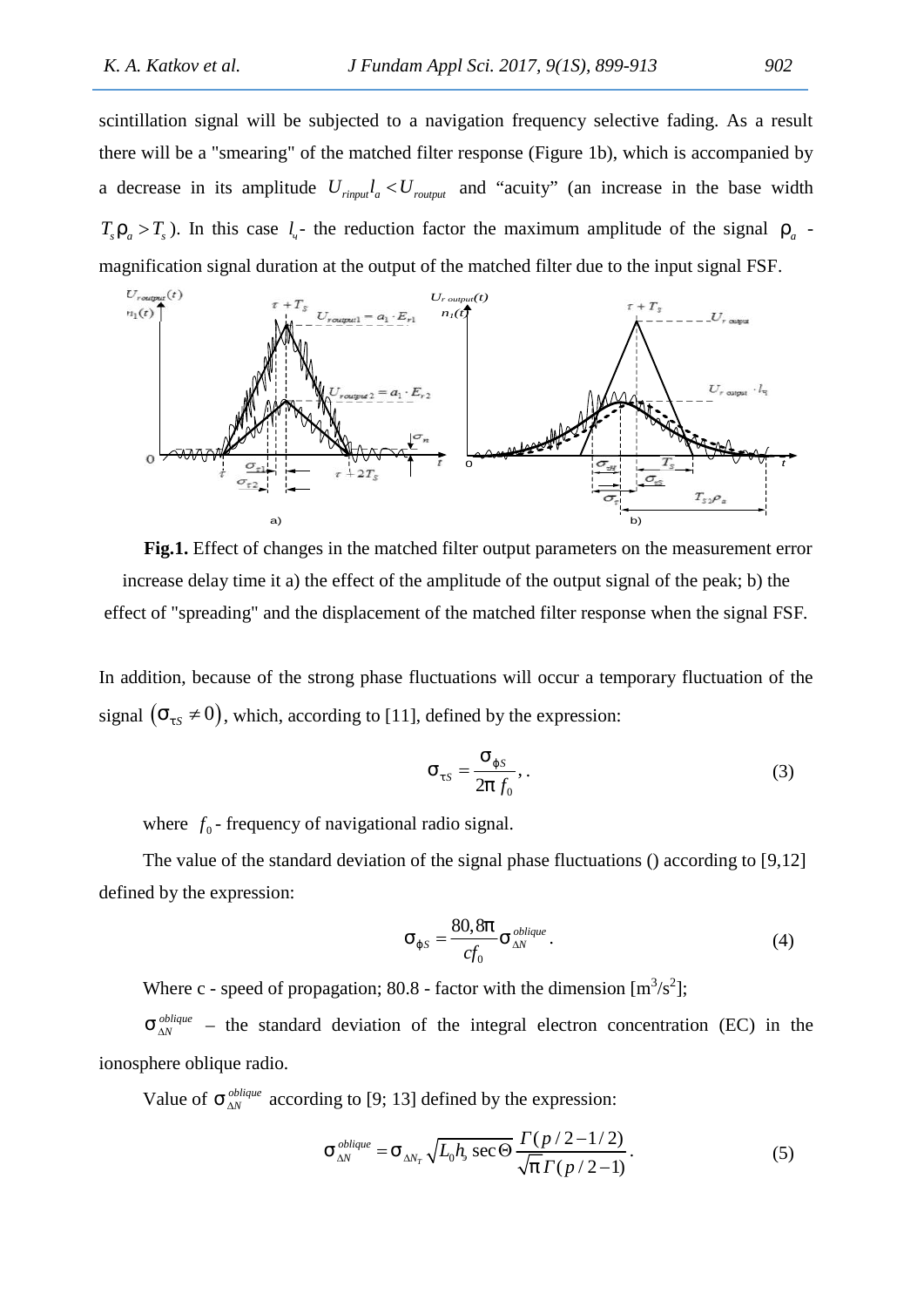scintillation signal will be subjected to a navigation frequency selective fading. As a result there will be a "smearing" of the matched filter response (Figure 1b), which is accompanied by *K. A. Katkov et al. J Fundam Appl Sci. 2017, 9(1S), 899-913* 902<br>
scintillation signal will be subjected to a navigation frequency selective fading. As a result<br>
there will be a "smearing" of the matched filter respons *K. A. Katkov et al. J Fundam Appl Sci. 2017, 9(1S), 899-913* 902<br>
scintillation signal will be subjected to a navigation frequency selective fading. As a result<br>
there will be a "smearing" of the matched filter respons  $T_{\rm g,}$  >  $T_{\rm g}$ ). In this case l - the reduction factor the maximum amplitude of the signal  $\mu_{\rm g}$  magnification signal duration at the output of the matched filter due to the input signal FSF.



**Fig.1.** Effect of changes in the matched filter output parameters on the measurement error increase delay time it a) the effect of the amplitude of the output signal of the peak; b) the effect of "spreading" and the displacement of the matched filter response when the signal FSF*.*

In addition, because of the strong phase fluctuations will occur a temporary fluctuation of the signal  $(\dagger_{1s} \neq 0)$ , which, according to [11], defined by the expression: ations will occur a temporary fluctuation of<br>
ined by the expression:<br>  $\frac{1}{2f} = \frac{1}{2f} \frac{s}{f_0}$ ,<br>
o signal.<br>
esignal phase fluctuations () according to [9]<br>
80,8*f*  $\frac{s}{f_0} + \frac{oblique}{\Delta N}$ .<br>
ctor with the dimension [m<sup>3</sup> rong phase fluctuations will occur a temporary fluctuation<br>
rding to [11], defined by the expression:<br>  $\uparrow_{ts} = \frac{\uparrow_{ts}}{2f} \frac{1}{f_0}$ ,<br>
navigational radio signal.<br>
d deviation of the signal phase fluctuations () according ase fluctuations will occur a temporary fluctuation of the<br>
1[11], defined by the expression:<br>  $\frac{1}{2f} \frac{1}{f_0}$ , (3)<br>
itional radio signal.<br>
ition of the signal phase fluctuations () according to [9,12]<br>  $\frac{1}{2f} \frac{80$ 

$$
\dagger_{1s} = \frac{1}{2f f_0}, \qquad (3)
$$

where  $f_0$ - frequency of navigational radio signal.

The value of the standard deviation of the signal phase fluctuations () according to [9,12] defined by the expression: defined by the expression:<br>  $\tau_{ts} = \frac{\tau_{ts}}{2f f_0}$ ,<br>
radio signal.<br>
f the signal phase fluctuations () according to<br>  $s = \frac{80.8f}{cf_0} \tau_{\Delta N}^{blique}$ .<br>
- factor with the dimension  $[m^3/s^2]$ ;

$$
\mathbf{\dot{T}}_{\{S\}} = \frac{80.8f}{cf_0} \mathbf{\dot{T}}_{\Delta N}^{oblique} \,. \tag{4}
$$

Where c - speed of propagation; 80.8 - factor with the dimension  $[m^3/s^2]$ ;

*oblique*  $\mathbf{h} \circ \mathbf{v}$  $\frac{1}{N}$   $\frac{oblique}{N}$  – the standard deviation of the integral electron concentration (EC) in the ionosphere oblique radio. ons win ocean a temporary intertation of the<br>
d by the expression:<br>  $\frac{1}{2f} \frac{f_s}{f_0}$ . (3)<br>
ignal.<br>
gnal phase fluctuations () according to [9,12]<br>  $\frac{8f}{f_0} + \frac{oblique}{\Delta N}$ . (4)<br>
r with the dimension [m<sup>3</sup>/s<sup>2</sup>];<br>
integ ing to [11], defined by the expression:<br>  $\tau_{1s} = \frac{1}{2f} \frac{f_s}{f_0}$ . (3)<br>
avigational radio signal.<br>
deviation of the signal phase fluctuations () according to [9,12]<br>  $\tau_{1s} = \frac{80.8f}{cf_0} + \frac{\phi blgure}{\Delta t}$ . (4)<br>
ation; 80. *Г p L hГ p*  $\tau_{\xi s} = \frac{80,8f}{cf_0} \tau_{\Delta v}^{oblique}$ . (4)<br>
gation; 80.8 - factor with the dimension [m<sup>3</sup>/s<sup>2</sup>];<br>
leviation of the integral electron concentration (EC) in the<br>
g to [9; 13] defined by the expression:<br>  $\frac{objique}{df} = \tau_{\Delta v_r} \sqrt{L$ 

Value of  $\uparrow_{\Delta N}^{oblique}$  according to [9; 13] defined by the expression:

$$
\uparrow_{\Delta N}^{oblique} = \uparrow_{\Delta N_T} \sqrt{L_0 h \ \sec \Theta} \frac{(p/2 - 1/2)}{\sqrt{f} \ (p/2 - 1)}.
$$
 (5)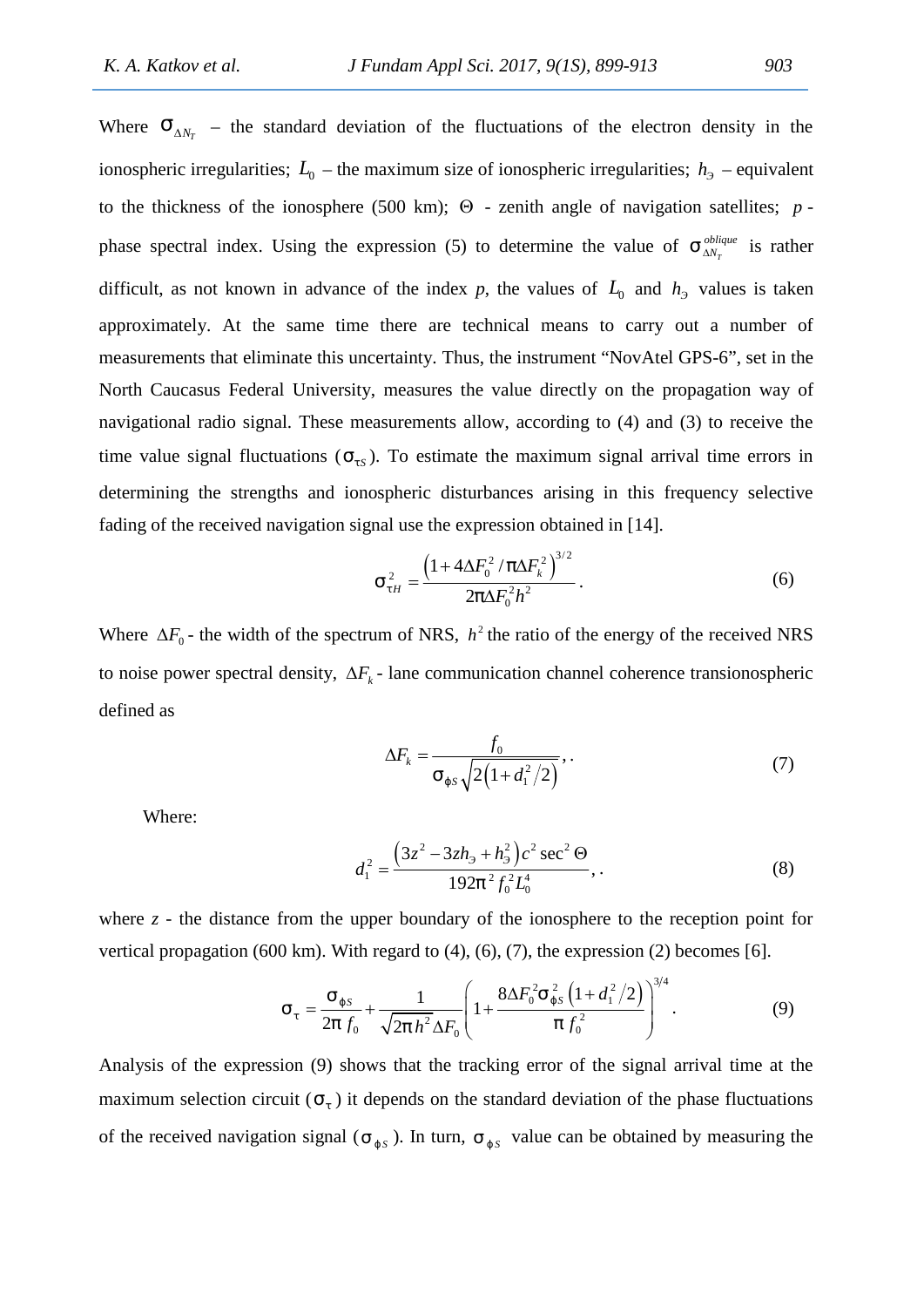Where  $\mathsf{T}_{\Delta N_T}$  – the standard deviation of the fluctuations of the electron density in the ionospheric irregularities;  $L_0$  – the maximum size of ionospheric irregularities;  $h$  – equivalent to the thickness of the ionosphere (500 km);  $\Theta$  - zenith angle of navigation satellites; *p* phase spectral index. Using the expression (5) to determine the value of  $\uparrow_{\Delta N_{\tau}}^{oblique}$  is rather difficult, as not known in advance of the index p, the values of  $L_0$  and h values is taken approximately. At the same time there are technical means to carry out a number of measurements that eliminate this uncertainty. Thus, the instrument "NovAtel GPS-6", set in the North Caucasus Federal University, measures the value directly on the propagation way of navigational radio signal. These measurements allow, according to (4) and (3) to receive the time value signal fluctuations  $(\dagger_{1s})$ . To estimate the maximum signal arrival time errors in determining the strengths and ionospheric disturbances arising in this frequency selective fading of the received navigation signal use the expression obtained in [14]. inical means to carry out a n<br>the instrument "NovAtel GPS-6",<br>value directly on the propagatic<br>ow, according to (4) and (3) to re<br>the maximum signal arrival time<br>pances arising in this frequency<br>ession obtained in [14].<br>cal means to carry out<br>
e instrument "NovAtel GF<br>
lue directly on the propare<br>
according to (4) and (3)<br>
maximum signal arrival<br>
ces arising in this frequ<br>
sion obtained in [14].<br>  $f \Delta F_k^2$ <br>  $\frac{1}{2}h^2$ <br>
example the ener f the fluctuations of the elect<br>m size of ionospheric irregularit<br>m);  $\Theta$  - zenith angle of navig<br>n (5) to determine the value<br>index p, the values of  $L_0$  and<br>are technical means to carry<br>v. Thus, the instrument "NovAtt fluctuations of the electron density in the<br>
of ionospheric irregularities;  $h$  – equivalent<br>
- zenith angle of navigation satellites;  $p$ -<br>
to determine the value of  $\uparrow_{\Delta N_T}^{oblique}$  is rather<br>  $p$ , the values of  $L_0$  an ximum size of ionospheric irregularities;  $h$  – equivalent<br>
00 km);  $\Theta$  - zenith angle of navigation satellites;  $p$ -<br>
ression (5) to determine the value of  $\uparrow_{\phi N_r}^{\phi Mijate}$  is rather<br>
f the index  $p$ , the values of  $L$ the fluctuations of the electron density in the<br>size of ionospheric irregularities;  $h$  – equivalent<br>i;  $\Theta$  - zenith angle of navigation satellites;  $p$ -<br>(5) to determine the value of  $\uparrow \frac{\phi blique}{\Delta N_f}$  is rather<br>dex p, t incomposity out a number of<br>s, the instrument "NovAtel GPS-6", set in the<br>levalue directly on the propagation way of<br>llow, according to (4) and (3) to receive the<br>e the maximum signal arrival time errors in<br>urbances arisi f the index p, the values of  $L_0$  and h values is taken<br>
here are technical means to carry out a number of<br>
rtainty. Thus, the instrument "NovAtel GPS-6", set in the<br>
measures the value directly on the propagation way of Example and value and value and value and value and value and value enterties allow, according to (4) and (3) to receive the estimate the maximum signal arrival time errors in erric disturbances arising in this frequency ments allow, according to (4) and (3) to receive<br>
estimate the maximum signal arrival time error<br> *Tic* disturbances arising in this frequency selec<br>
se the expression obtained in [14].<br>  $=\frac{\left(1+4\Delta F_0^2/f\Delta F_k^2\right)^{3/2}}{2f$ *f* the maximum signal arrival time errors in<br> *f* the maximum signal arrival time errors in<br> *frances* arising in this frequency selective<br>
pression obtained in [14].<br>  $F_0^2 / f \Delta F_k^2$ <br>  $f \Delta F_0^2 h^2$ <br>  $f^2 h^2$ <br>  $f^2 h^2$ <br> res the value directly on the propagation way of<br>
ents allow, according to (4) and (3) to receive the<br>
timate the maximum signal arrival time errors in<br>
disturbances arising in this frequency selective<br>
the expression obt

$$
t_{\pm H}^{2} = \frac{\left(1 + 4\Delta F_{0}^{2} / f\Delta F_{k}^{2}\right)^{3/2}}{2f\Delta F_{0}^{2}h^{2}}.
$$
 (6)

Where  $\Delta F_0$ - the width of the spectrum of NRS,  $h^2$  the ratio of the energy of the received NRS to noise power spectral density,  $\Delta F_k$ -lane communication channel coherence transionospheric defined as  $2f\Delta F_0^2 h^2$ <br>
NRS,  $h^2$  the ratio of the energy of the rece<br>
communication channel coherence transic<br>  $=\frac{f_0}{\frac{1}{2}\left(1+d_1^2/2\right)}$ .<br>  $\frac{2-3zh + h^2}{2}c^2 \sec^2 \Theta}{192f^2f_0^2L_0^4}$ .<br>
undary of the ionosphere to the recept F<sub>k</sub> - lane communication channel coherence to<br>  $\Delta F_k = \frac{f_0}{t_{\{s\}} \sqrt{2(1+d_1^2/2)}}$ .<br>  $\Delta F_k = \frac{f_0}{t_{\{s\}} \sqrt{2(1+d_1^2/2)}}$ .<br>  $\frac{2}{t_1^2} = \frac{(3z^2 - 3zh + h^2)c^2 \sec^2 \Theta}{192f^2f_0^2L_0^4}$ .<br>
Oper boundary of the ionosphere to the e ratio of the energy of the<br>ation channel coherence to<br> $\frac{1}{\sqrt{d_1^2/2}}$ ,<br> $\frac{1}{\sqrt{d_0^2}}$ ,<br> $\frac{1}{\sqrt{d_0^2}}$ ,<br> $\frac{1}{\sqrt{d_0^2}}$ ,<br> $\frac{1}{\sqrt{d_0^2}}$ ,<br> $\frac{1}{\sqrt{d_0^2}}$ ,<br> $\frac{1}{\sqrt{d_0^2}}$ ,<br> $\frac{1}{\sqrt{d_0^2}}$ ,<br> $\frac{1}{\sqrt{d_0^2}}$ ,<br> $\frac{(1+4\Delta F_0^2/f\Delta F_s^2)^{3/2}}{2f\Delta F_0^2 h^2}$ . (6)<br>
NRS,  $h^2$  the ratio of the energy of the received NRS<br>
communication channel coherence transionospheric<br>  $= \frac{f_0}{\frac{1}{t(s\sqrt{2}(1+d_1^2/2)})}$ . (7)<br>  $\frac{t^2-3zh+h^2}{192f^2f_0^2t_$  $\frac{1}{1+\mu} = \frac{(1+4\Delta F_0^2/f\Delta F_k^2)^{3/2}}{2f\Delta F_0^2 h^2}$ . (6)<br>
ctrum of NRS,  $h^2$  the ratio of the energy of the received NRS<br>  $\Delta F_k$  - lane communication channel coherence transionospheric<br>  $\Delta F_k = \frac{f_0}{f_{\{s\}}(2(1+d_1^2/2)})$  $f_{1H}^2 = \frac{(1 + 4\lambda F_0 / f)AF_s f}{2f \Delta F_0^2 h^2}$ . (6)<br> *f f h* F. Therefore is the ratio of the energy of the received NRS<br> *AF<sub>K</sub>* - lane communication channel coherence transionospheric<br> *AF<sub>K</sub>* - lane communication chann  $\int_{1H}^{2} = \frac{(1 + 4\Delta F_0^2 / f \Delta F_k^2)^{3/2}}{2f \Delta F_0^2 h^2}$ . (6)<br>
pectrum of NRS,  $h^2$  the ratio of the energy of the received NRS<br>  $\Delta F_k$  - lane communication channel coherence transionospheric<br>  $\Delta F_k = \frac{f_0}{\frac{1}{2\sqrt{2}(1 + d_1$ xpression obtained in [14].<br>  $\Delta F_0^2 / f \Delta F_k^2$ <sup>3/22</sup><br>  $2f \Delta F_0^2 h^2$  (6)<br>  $h^2$  the ratio of the energy of the received NRS<br>
nunication channel coherence transionospheric<br>  $f_0$ <br>  $\sqrt{2(1+d_1^2/2)}$  (7)<br>  $\frac{1+h^2}{2c^2 \sec^2 \Theta}$ ation signal use the expression obtained in [14].<br>  $\uparrow_{1H}^2 = \frac{(1 + 4\Delta F_0^2 / f\Delta F_k^2)^{3/2}}{2f\Delta F_0^2 h^2}$ . (6)<br>
ne spectrum of NRS,  $h^2$  the ratio of the energy of the received NRS<br>
sity,  $\Delta F_k$  - lane communication chan  $\frac{1+4\Delta F_0^2/f\Delta F_s^2\bar{f}^{3/2}}{2f\Delta F_0^2h^2}$ . (6)<br>
RS,  $h^2$  the ratio of the energy of the received NRS<br>
ommunication channel coherence transionospheric<br>  $\frac{f_0}{f_5\sqrt{2(1+d_1^2/2)}}$ . (7)<br>  $\frac{-3zh + h^2\bar{f}c^2\sec^2\Theta}{192f^2$ 

$$
\Delta F_k = \frac{f_0}{\frac{1}{1 + (s\sqrt{2(1 + d_1^2/2)}})}.
$$
\n(7)

Where:

$$
d_1^2 = \frac{\left(3z^2 - 3zh + h^2\right)c^2 \sec^2 \Theta}{192f^2 f_0^2 L_0^4},\qquad(8)
$$

where  $z$  - the distance from the upper boundary of the ionosphere to the reception point for vertical propagation (600 km). With regard to (4), (6), (7), the expression (2) becomes [6].

$$
\Delta F_k = \frac{f_0}{t_{\{s\}}sqrt{2(1+d_1^2/2)}},
$$
(7)  

$$
d_1^2 = \frac{(3z^2 - 3zh + h^2)c^2 \sec^2 \Theta}{192f^2 f_0^2 L_0^4},
$$
(8)  
from the upper boundary of the ionosphere to the reception point for 0 km). With regard to (4), (6), (7), the expression (2) becomes [6].  

$$
t_{\rm t} = \frac{t_{\{s\}}}{2f f_0} + \frac{1}{\sqrt{2f h^2} \Delta F_0} \left(1 + \frac{8\Delta F_0^2 t_{\{s\}}^2 (1 + d_1^2/2)}{f f_0^2}\right)^{3/4}.
$$
(9)  
ion (9) shows that the tracking error of the signal arrival time at the  
uit  $(t_{\rm t})$  it depends on the standard deviation of the phase fluctuations

Analysis of the expression (9) shows that the tracking error of the signal arrival time at the maximum selection circuit  $(\dagger)$  it depends on the standard deviation of the phase fluctuations of the received navigation signal ( $\uparrow$ <sub>(s</sub>). In turn,  $\uparrow$ <sub>(s</sub> value can be obtained by measuring the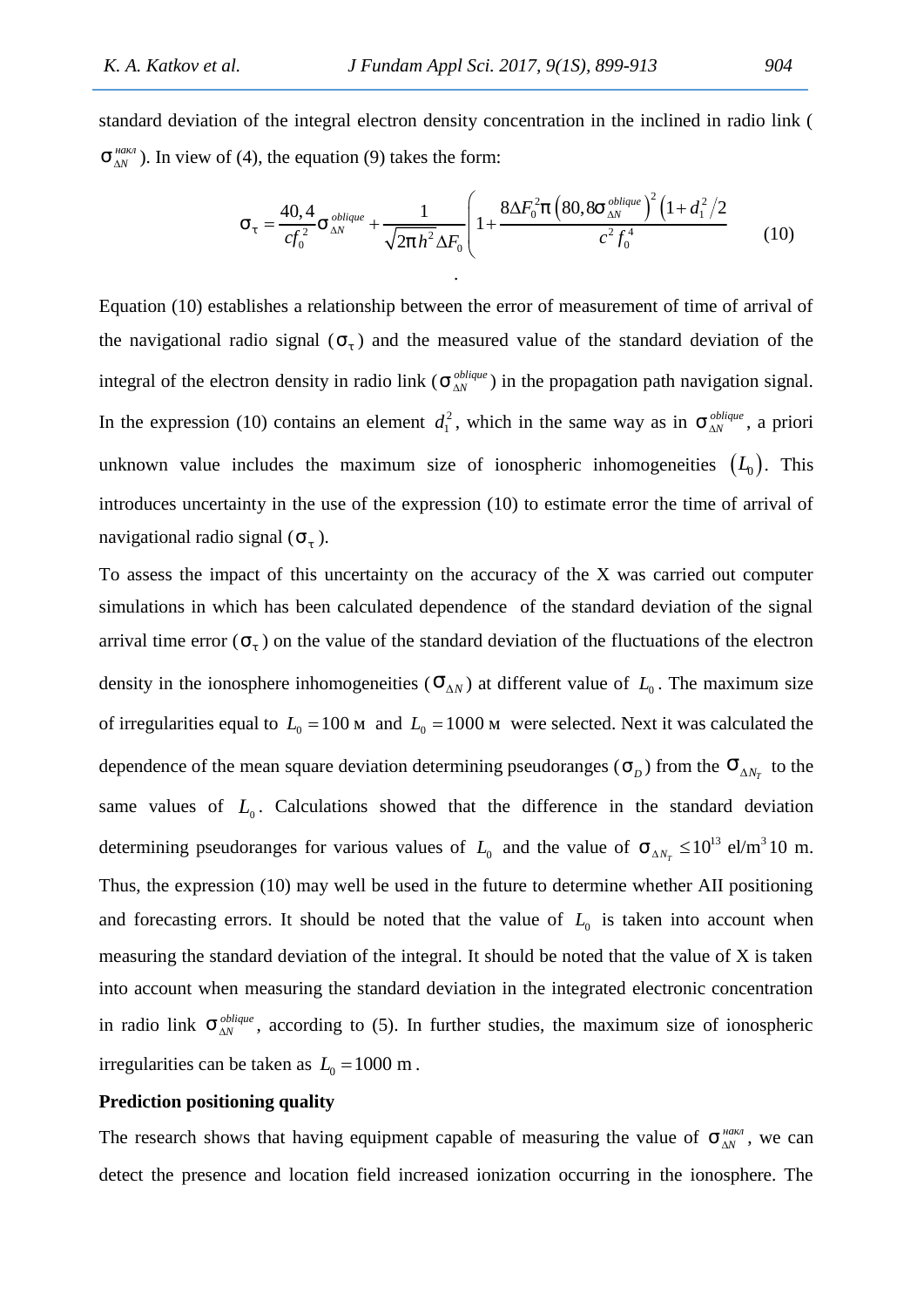standard deviation of the integral electron density concentration in the inclined in radio link (  $\uparrow_{\Delta N}$ ). In view of (4), the equation (9) takes the form:

.

*J Fundam Appl Sci.* 2017, 9(1S), 899-913 904  
\nof the integral electron density concentration in the inclined in radio link (4), the equation (9) takes the form:  
\n
$$
t_{\frac{1}{2}} = \frac{40.4}{f_0^2} \frac{1}{4} \frac{\pi}{\omega M} \left( \frac{1}{2} + \frac{8 \Delta F_0^2 f (80.8 \frac{\pi}{\omega M})^2 (1 + d_1^2/2)}{2f_0^4} \right)
$$
\n
$$
= \frac{40.4 \pi}{\omega M} \left( \frac{1}{2} + \frac{3 \Delta F_0^2 f (80.8 \frac{\pi}{\omega M})^2 (1 + d_1^2/2)}{2f_0^4} \right)
$$
\n
$$
= \frac{40.4 \pi}{\omega M} \left( \frac{1}{2} + \frac{1}{2} \frac{1}{2} \frac{\pi}{\omega M} \right)
$$
\n
$$
= \frac{40.4 \pi}{\omega M} \left( \frac{1}{2} + \frac{1}{2} \frac{\pi}{\omega M} \right)
$$
\n
$$
= \frac{40.4 \pi}{\omega M} \left( \frac{1}{2} + \frac{1}{2} \frac{\pi}{\omega M} \right)
$$
\n
$$
= \frac{40.4 \pi}{\omega M} \left( \frac{1}{2} + \frac{1}{2} \frac{\pi}{\omega M} \right)
$$
\n
$$
= \frac{40.4 \pi}{\omega M} \left( \frac{1}{2} + \frac{1}{2} \frac{\pi}{\omega M} \right)
$$
\n
$$
= \frac{40.4 \pi}{\omega M} \left( \frac{1}{2} + \frac{1}{2} \frac{\pi}{\omega M} \right)
$$
\n
$$
= \frac{40.4 \pi}{\omega M} \left( \frac{1}{2} + \frac{1}{2} \frac{\pi}{\omega M} \right)
$$
\n
$$
= \frac{40.4 \pi}{\omega M} \left( \frac{1}{2} + \frac{1}{2} \frac{\pi}{\omega M} \right)
$$
\n
$$
= \frac{40.4 \pi}{\omega M} \left( \frac{1}{2} + \frac{1}{2} \frac{\pi}{\omega M} \right)
$$
\n
$$
= \frac{40.4
$$

*J Fundam Appl Sci. 2017, 9(1S), 899-913* 904<br> *e* integral electron density concentration in the inclined in radio link (<br> *e* equation (9) takes the form:<br>  $\frac{40.4}{f_0^2} + \frac{b_{\text{M}}}{\Delta V} + \frac{1}{\sqrt{2f h^2} \Delta F_0} \left( 1 + \frac{8\$ Equation (10) establishes a relationship between the error of measurement of time of arrival of the navigational radio signal  $(\dagger)$  and the measured value of the standard deviation of the integral of the electron density in radio link ( $\uparrow_{\Delta N}^{oblique}$ ) in the propagation path navigation signal. In the expression (10) contains an element  $d_1^2$ , which in the same way as in  $\uparrow_{\Delta N}^{oblique}$ , a priori unknown value includes the maximum size of ionospheric inhomogeneities  $(L_0)$ . This introduces uncertainty in the use of the expression (10) to estimate error the time of arrival of navigational radio signal ( $\uparrow$ <sub>t</sub>).

To assess the impact of this uncertainty on the accuracy of the X was carried out computer simulations in which has been calculated dependence of the standard deviation of the signal arrival time error  $(\dagger)$  on the value of the standard deviation of the fluctuations of the electron density in the ionosphere inhomogeneities ( $\uparrow_{\Delta N}$ ) at different value of  $L_0$ . The maximum size of irregularities equal to  $L_0 = 100$  and  $L_0 = 1000$  were selected. Next it was calculated the dependence of the mean square deviation determining pseudoranges ( $\uparrow_D$ ) from the  $\uparrow_{\Delta N_T}$  to the same values of  $L_0$ . Calculations showed that the difference in the standard deviation determining pseudoranges for various values of  $L_0$  and the value of  $\tau_{\Delta N_{\tau}} \leq 10^{13}$  el/m<sup>3</sup> 10 m. and the same way as in  $\uparrow_{\alpha N}^{blique}$ , a priori<br>
conospheric inhomogeneities  $(L_0)$ . This<br>
(0) to estimate error the time of arrival of<br>
racy of the X was carried out computer<br>  $\downarrow$  of the standard deviation of the signa Thus, the expression (10) may well be used in the future to determine whether AII positioning and forecasting errors. It should be noted that the value of  $L_0$  is taken into account when measuring the standard deviation of the integral. It should be noted that the value of X is taken into account when measuring the standard deviation in the integrated electronic concentration in radio link  $\uparrow_{\Delta N}^{oblique}$ , according to (5). In further studies, the maximum size of ionospheric irregularities can be taken as  $L_0 = 1000$  m.

## **Prediction positioning quality**

The research shows that having equipment capable of measuring the value of  $\uparrow_{\Delta N}$ , we can detect the presence and location field increased ionization occurring in the ionosphere. The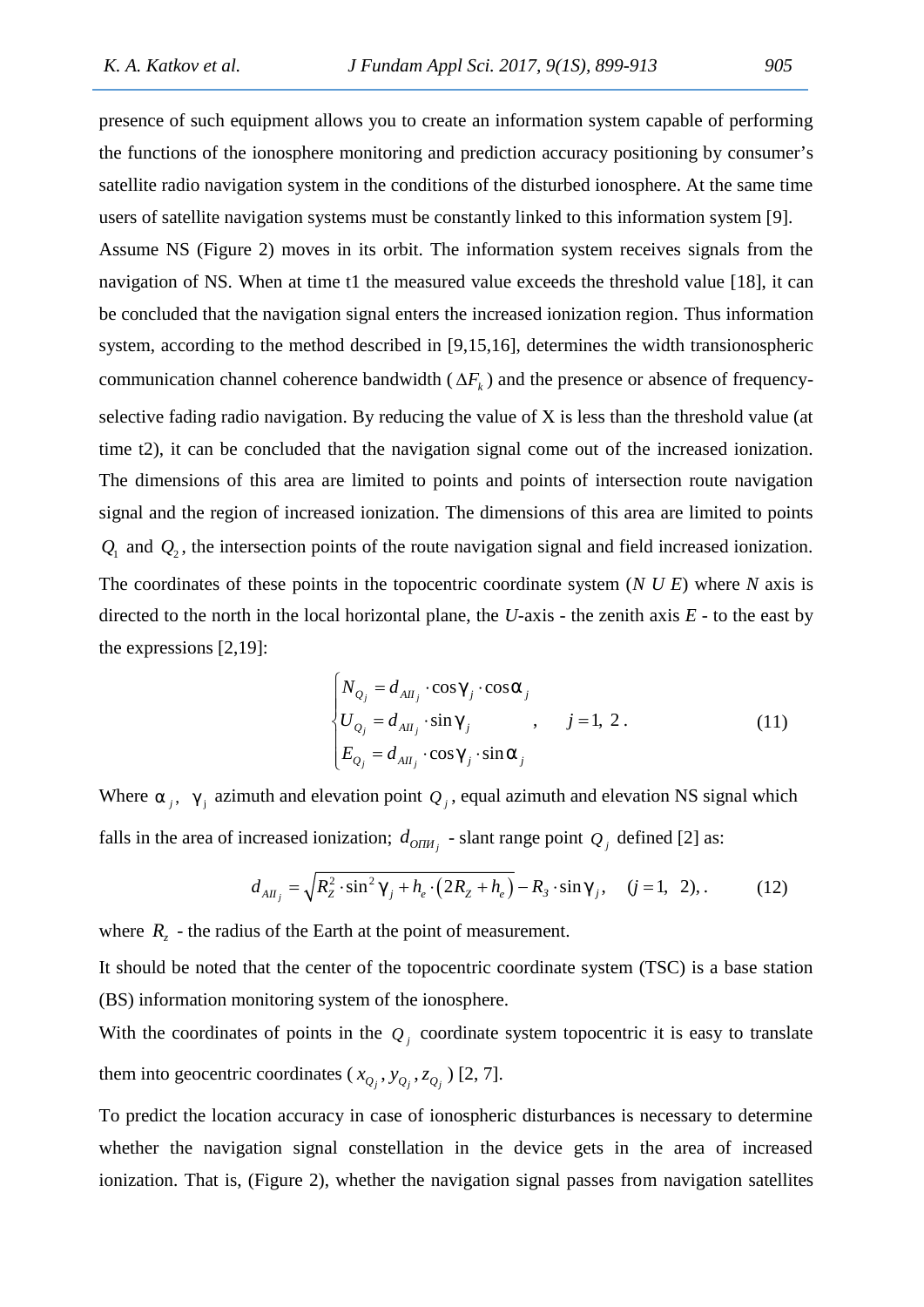presence of such equipment allows you to create an information system capable of performing the functions of the ionosphere monitoring and prediction accuracy positioning by consumer's satellite radio navigation system in the conditions of the disturbed ionosphere. At the same time users of satellite navigation systems must be constantly linked to this information system [9]. Assume NS (Figure 2) moves in its orbit. The information system receives signals from the navigation of NS. When at time t1 the measured value exceeds the threshold value [18], it can be concluded that the navigation signal enters the increased ionization region. Thus information system, according to the method described in [9,15,16], determines the width transionospheric communication channel coherence bandwidth  $(\Delta F_k)$  and the presence or absence of frequencyselective fading radio navigation. By reducing the value of X is less than the threshold value (at time t2), it can be concluded that the navigation signal come out of the increased ionization. The dimensions of this area are limited to points and points of intersection route navigation signal and the region of increased ionization. The dimensions of this area are limited to points The information system receives signal<br>ured value exceeds the threshold value |<br>s the increased ionization region. Thus is<br>n [9,15,16], determines the width transi-<br>h ( $\Delta F_k$ ) and the presence or absence of<br>g the value of at a metrical value exceeds the threshold value [18], it can<br>s the increased ionization region. Thus information<br>in [9,15,16], determines the width transionospheric<br>th  $(\Delta F_k)$  and the presence or absence of frequency-<br>g t is the increased ionization region. Thus information [9,15,16], determines the width transionosphere the Value of X is less than the threshold value gation signal come out of the increased ionization pays and points of th *Q AII* is the navigation signal come out of<br>imited to points and points of inte<br>ionization. The dimensions of this<br>is of the route navigation signal and f<br>is the topocentric coordinate system<br>orizontal plane, the U-axis n its orbit. The information system receives<br>
t1 the measured value exceeds the threshold<br>
signal enters the increased ionization region.<br>
I described in [9,15,16], determines the width<br>
ce bandwidth (Δ $F_k$ ) and the pres *U* d the measured value exceeds the threshold value is signal enters the increased ionization region. Thus is described in [9,15,16], determines the width transice bandwidth  $(\Delta F_k)$  and the presence or absence of i. By r signal enters the increased ionization region.<br>
I described in [9,15,16], determines the width<br>
ce bandwidth ( $\Delta F_k$ ) and the presence or abser-<br> *E By* reducing the value of X is less than the the<br>
at the navigation sign Information system [9].<br>
information system receives signals from the<br>
d value exceeds the threshold value [18], it can<br>
e increased ionization region. Thus information<br>  $\lambda$ ,15,16], determines the width transionospheric<br> d value exceeds the threshold value [18], it can<br>
ie increased ionization region. Thus information<br>
9,15,16], determines the width transionospheric<br>  $\Delta F_k$ ) and the presence or absence of frequency-<br>
he value of X is less tems must be constantly linked to this information system [9].<br>
in its orbit. The information system receives signals from the<br>
et at the measured value exceeds the threshold value [18], it can<br>
n signal enters the increa in its orbit. The information system receives signals from the<br>et al the measured value exceeds the threshold value [18], it can<br>n signal enters the increased ionization region. Thus information<br>of described in [9,15,16], e tl the measured value exceeds the threshold value [18], it can<br>n signal enters the increased ionization region. Thus information<br>ol described in [9,15,16], determines the width transionospheric<br>nee bandwidth ( $\Delta F_k$ ) an be concluded that the havigation signal enters<br>system, according to the method described in<br>communication channel coherence bandwidth<br>selective fading radio navigation. By reducing<br>time t2), it can be concluded that the n 0 navigation. By reducing the value of X is less than the threshold value (at oncluded that the navigation signal come out of the increased ionization.<br>this area are limited to points and points of intersection route navi

 $Q_1$  and  $Q_2$ , the intersection points of the route navigation signal and field increased ionization. The coordinates of these points in the topocentric coordinate system (*N U E*) where *N* axis is directed to the north in the local horizontal plane, the *U*-axis - the zenith axis *E* - to the east by the expressions [2,19]: mited to points are<br>
onization. The dir<br>
of the route naviga<br>
the topocentric co<br>
rizontal plane, the<br>  $j = d_{AH_j} \cdot \cos x_j \cdot \cos x_j$ <br>  $d_{AH_j} \cdot \sin x_j$ <br>  $d_{AH_j} \cdot \cos x_j \cdot \sin x_j$ ionization. The divorption<br>of the route navigation<br>the topocentric contribution of the topocentric contribution<br>of  $j_j = d_{AII_j} \cdot \cos x_j \cdot \cos x_j$ <br> $j = d_{AII_j} \cdot \cos x_j \cdot \sin x_j$ of the route navigation<br>the topocentric condition<br>orizontal plane, the<br> $g_{ij} = d_{AH_j} \cdot \cos x_j \cdot \cos x_j$ <br> $g_j = d_{AH_j} \cdot \cos x_j \cdot \sin x_j$ <br>on point  $Q_j$ , equal limited to points and points<br>
limited to points and points<br> *s* of the route navigation sign<br> **n** the topocentric coordinate<br>
orizontal plane, the U-axis -<br>  $Q_j = d_{AII_j} \cdot \cos x_j \cdot \cos \Gamma_j$ <br>  $Q_j = d_{AII_j} \cdot \sin x_j$ ,<br>  $Q_j = d_{AII_j} \cdot \cos x_j \cdot$ *Q* and the topocentric coordinate system<br> *Q* and the topocentric coordinate system<br> *Q* and the topocentric coordinate system<br> *Q* and the *Q* and the *Q* and the *Q* and the *Q* and the *Q* and the *Q* and  $j$  coordina

$$
\begin{cases}\nN_{Q_j} = d_{AII_j} \cdot \cos x_j \cdot \cos r_j \\
U_{Q_j} = d_{AII_j} \cdot \sin x_j \\
E_{Q_j} = d_{AII_j} \cdot \cos x_j \cdot \sin r_j\n\end{cases}
$$
\n(11)

azimuth and elevation point  $Q_i$ , equal azimuth and elevation NS signal which falls in the area of increased ionization;  $d_{j}$  - slant range point  $Q_{j}$  defined [2] as:

$$
d_{AII_j} = \sqrt{R_Z^2 \cdot \sin^2 x_j + h_e \cdot (2R_Z + h_e)} - R \cdot \sin x_j, \quad (j = 1, 2), \tag{12}
$$

where  $R_z$  - the radius of the Earth at the point of measurement.

It should be noted that the center of the topocentric coordinate system (TSC) is a base station (BS) information monitoring system of the ionosphere.

With the coordinates of points in the  $Q_j$  coordinate system topocentric it is easy to translate

the expressions [2,19]:<br>
the expressions [2,19]:<br>  $\begin{cases} N_{Q_j} = d_{AB_j} \cdot \cos x_j \cdot \cos \Gamma_j \\ U_{Q_j} = d_{AB_j} \cdot \cos x_j \cdot \sin \Gamma_j \end{cases}$ ,  $j = 1, 2$ .<br>
Where  $\Gamma_j$ ,  $x_j$  azimuth and elevation point  $Q_j$ , equal azimuth and elevation N<br>
falls in the To predict the location accuracy in case of ionospheric disturbances is necessary to determine whether the navigation signal constellation in the device gets in the area of increased ionization. That is, (Figure 2), whether the navigation signal passes from navigation satellites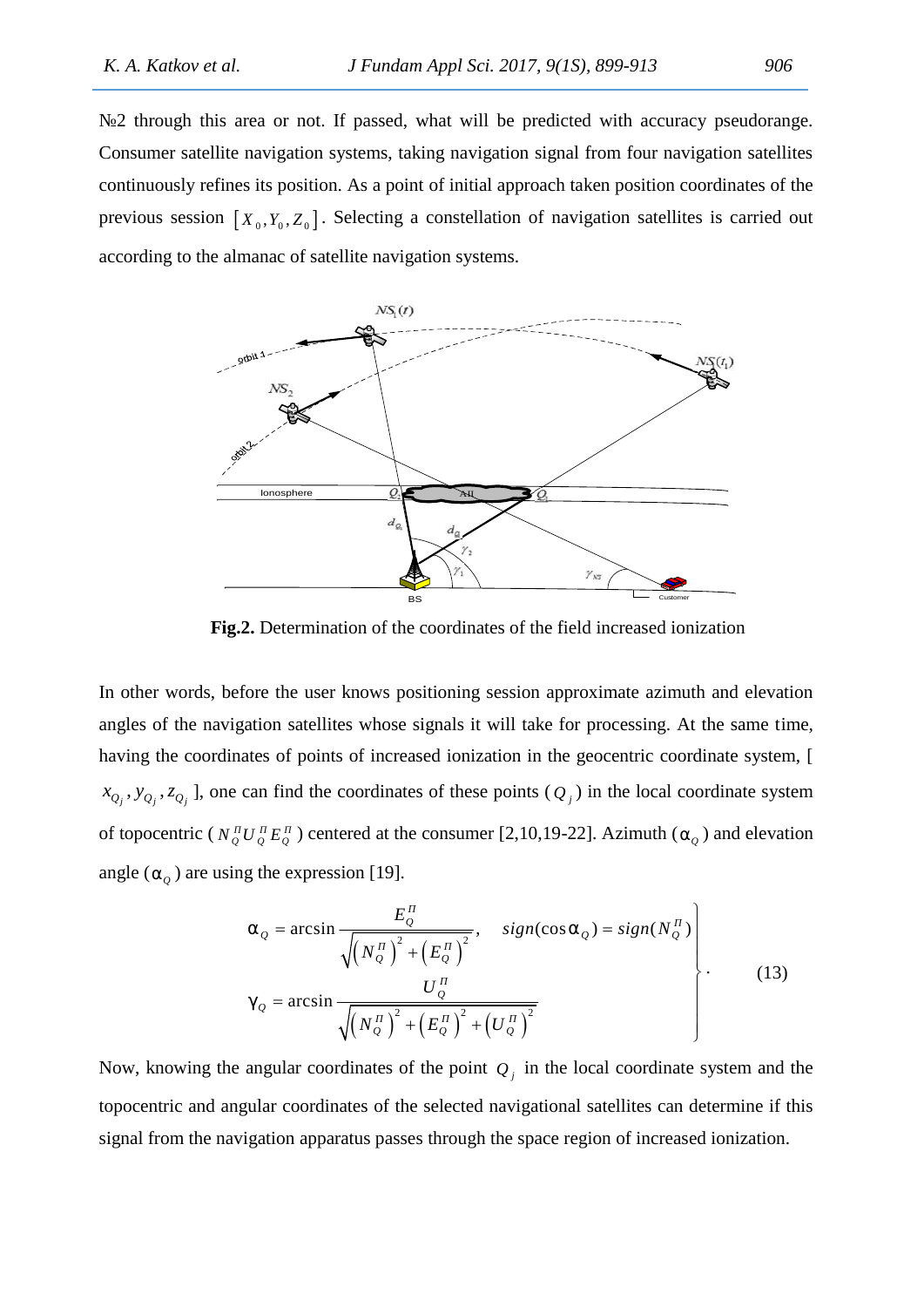№2 through this area or not. If passed, what will be predicted with accuracy pseudorange. Consumer satellite navigation systems, taking navigation signal from four navigation satellites continuously refines its position. As a point of initial approach taken position coordinates of the *K. A. Katkov et al. J Fundam Appl Sci. 2017, 9(1S), 899-913* 906<br>
2 through this area or not. If passed, what will be predicted with accuracy pseudorange.<br>
Consumer satellite navigation systems, taking navigation sign according to the almanac of satellite navigation systems.



**Fig.2.** Determination of the coordinates of the field increased ionization

In other words, before the user knows positioning session approximate azimuth and elevation angles of the navigation satellites whose signals it will take for processing. At the same time,  $x_{Q_j}, y_{Q_j}, z_{Q_j}$ ], one can find the coordinates of these points  $(Q_j)$  in the local coordinate system **Example 1.1**  $\frac{mg}{m}$ <br> **of**  $\frac{mg}{m}$ <br> **of**  $\frac{mg}{m}$ <br> **of**  $\frac{mg}{m}$ <br> **of**  $\frac{mg}{m}$ <br> **of**  $\frac{mg}{m}$ <br> **of**  $\frac{mg}{m}$ <br> **of the navigation satellities whose signals it will take for processing. At the same time,<br>
having** of topocentric ( $N_Q U_Q E_Q$ ) centered at the consumer [2,10,19-22]. Azimuth ( $r_Q$ ) and elevation angle  $(r<sub>Q</sub>)$  are using the expression [19]. positioning session approximate<br>
e signals it will take for process<br>
reased ionization in the geocentr<br>
ates of these points  $(Q_j)$  in the 1<br>
the consumer [2,10,19-22]. Azim<br>
1.<br>
1.<br>  $\frac{E_Q}{\sqrt{2 + (E_Q)^2}}$ ,  $sign(cos \Gamma_Q) = sig$ <br>  $\frac{U_Q$ arcsin  $\frac{E_0}{\sqrt{(N_e)^2 + (E_0)^2}}$ ,  $\frac{E_0}{\sqrt{(N_e)^2 + (E_0)^2}}$ <br>
arcsin arcsin and the solution of the coordinates of the field increased ionization<br>
arcsin  $\frac{E_0}{\sqrt{(N_e)^2 + (E_0)^2}}$ ,  $\frac{E_0}{\sqrt{(N_e)^2 + (E_0)^2}}$ ,  $\frac{E_0}{\sqrt{(N_e)^2 + (E$ be the user knows positioning session approximate azimuth and elevation<br>
ion satellites whose signals it will take for processing. At the same time,<br>
so of points of increased ionization in the geocentric coordinate syste vs positioning session approximate azimuth<br>
nose signals it will take for processing. At<br>
ncreased ionization in the geocentric coord<br>
linates of these points ( $Q_j$ ) in the local coord<br>
at the consumer [2,10,19-22]. Azimu *M* are positioning session approximate azimuth<br>
hose signals it will take for processing. At<br>
ncreased ionization in the geocentric coord<br>
linates of these points ( $Q_j$ ) in the local coord<br>
at the consumer [2,10,19-22]. *sign (cos F<sub>Q</sub>)* = *sign(N<sub>Q</sub>)*  $\frac{1}{\sqrt{2}}$  (13)<br>  $\frac{1}{\sqrt{2}}$  (13) in the local accordinate system (1)<br>  $\frac{1}{\sqrt{2}}$  (10,19-22]. Azimuth (*F<sub>Q</sub>*) and elevation<br>  $\frac{1}{\sqrt{2}}$  (10,19-22]. Azimuth (*F<sub>Q</sub>*) and elevation<br> *N E P*<sup>N</sup>  $\left\{\right\}$  *P*<sup>N</sup>  $\left\{\right\}$  *P*<sub>N</sub>  $\left\{\right\}$  *P*<sub>N</sub>  $\left\{\right\}$  **E** Continues of the field increased ionization<br>
dows positioning session approximate azimuth and elevation<br>
whose signals it will take for processing. A **EXERCISE ASSESSMENT ASSESSMENT AND THE CONSUMIDED ASSESSMENT AND ACCORDINGLY AND ACCORDINGLY AND CONDUCT ACCORDING SECTION AND ACCORDING SECTION AND ACCORDING SECTION (F) IN the same time, these of points of increased io** Example the user knows positioning session approximate azimuth and elevation<br>termination of the coordinates of the field increased ionization<br>the user knows positioning session approximate azimuth and elevation<br>of points **Example 12** and the field increased ionization<br>
signals it will take for processing. At the same time,<br>
signals it will take for processing. At the same time,<br>
signals it will take for processing. At the same time,<br>
les

ates of points of increased ionization in the geocentric coordinate system, 
$$
[
$$
 can find the coordinates of these points  $(Q_j)$  in the local coordinate system  $U_Q E_Q$  ) centered at the consumer [2,10,19-22]. Azimuth  $(r_Q)$  and elevation  $g$  the expression [19].\n\n
$$
r_Q = \arcsin \frac{E_Q}{\sqrt{(N_Q)^2 + (E_Q)^2}}, \quad \text{sign}(\cos r_Q) = \text{sign}(N_Q)
$$
\n
$$
x_Q = \arcsin \frac{U_Q}{\sqrt{(N_Q)^2 + (E_Q)^2 + (U_Q)^2}}
$$
\n\nangular coordinates of the point  $Q_j$  in the local coordinate system and the gular coordinates of the selected navigational satellites can determine if this

Now, knowing the angular coordinates of the point  $Q_j$  in the local coordinate system and the topocentric and angular coordinates of the selected navigational satellites can determine if this signal from the navigation apparatus passes through the space region of increased ionization.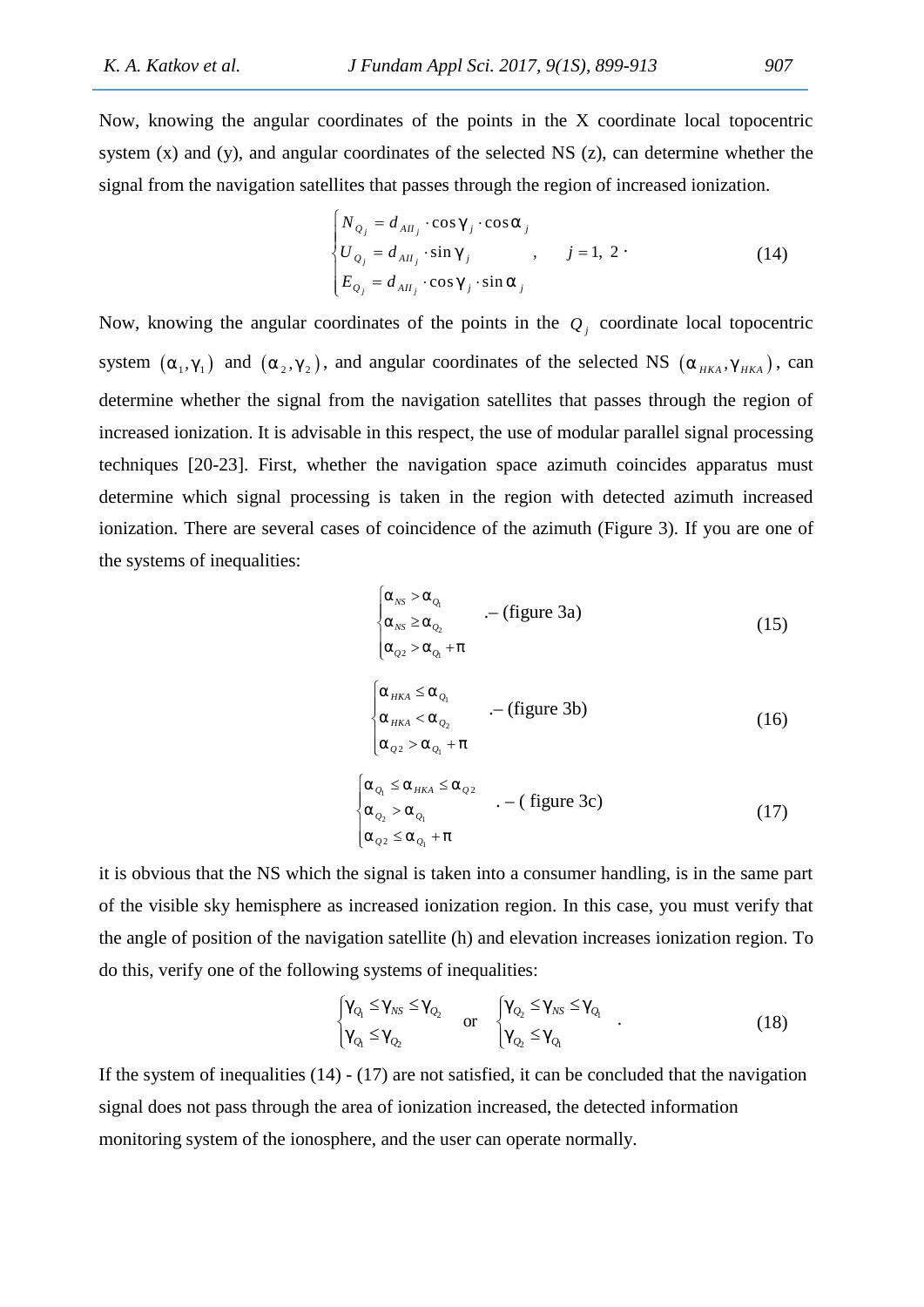Now, knowing the angular coordinates of the points in the X coordinate local topocentric system (x) and (y), and angular coordinates of the selected NS (z), can determine whether the signal from the navigation satellites that passes through the region of increased ionization. Appl Sci. 2017, 9(1S), 899-913 907<br>the points in the X coordinate local topocentric<br>of the selected NS (z), can determine whether the<br>ses through the region of increased ionization.<br> $\cos x_j \cdot \cos r_j$ <br> $\sin x_j$ ,  $j = 1, 2$ . (14)<br> $\$ *l Sci. 2017, 9(1S), 899-913* 907<br>
points in the X coordinate local topocentric<br>
the selected NS (z), can determine whether the<br>
hrough the region of increased ionization.<br>  $x_j \cdot \cos r_j$ <br>  $x_j \cdot \sin r_j$ <br>
points in the  $Q_j$  coord *o l Sci. 2017, 9(1S), 899-913 907<br>
<i>i* points in the X coordinate local topocentric<br>
the selected NS (z), can determine whether the<br>
through the region of increased ionization.<br>  $x_j \cdot \cos r_j$ <br>  $x_j \cdot \sin r_j$ <br>
points in the *J Fundam Appl Sci. 2017, 9(1S), 899-913* 907<br>
oordinates of the points in the X coordinate local topocentric<br>
r coordinates of the selected NS (z), can determine whether the<br>
llites that passes through the region of incr *J Fundam Appl Sci. 2017, 9(1S), 899-913* 907<br>
oordinates of the points in the X coordinate local topocentric<br>
r coordinates of the selected NS (z), can determine whether the<br>
littes that passes through the region of incr *J Fundam Appl Sci. 2017, 9(1S), 899-913* 907<br>
oordinates of the points in the X coordinate local topocentric<br>
r coordinates of the selected NS (z), can determine whether the<br>
lites that passes through the region of incre

*J Fundam Appl Sci.* 2017, 9(1S), 899-913 907  
\ncoordinates of the points in the X coordinate local topocentric  
\nrr coordinates of the selected NS (z), can determine whether the  
\nlites that passes through the region of increased ionization.  
\n
$$
\begin{cases}\nN_{Q_j} = d_{AII_j} \cdot \cos x_j \cdot \cos r_j \\
U_{Q_j} = d_{AII_j} \cdot \sin x_j\n\end{cases}, \quad j = 1, 2 \cdot (14) \\
E_{Q_j} = d_{AII_j} \cdot \cos x_j \cdot \sin r_j\n\end{cases}
$$
\nordinates of the points in the  $Q_j$  coordinate local topocentric  
\nand angular coordinates of the selected NS (r, x), can

Appl Sci. 2017, 9(1S), 899-913 907<br>
the points in the X coordinate local topocent<br>
of the selected NS (z), can determine whether<br>
ses through the region of increased ionization.<br>
cos x<sub>j</sub>·cos r<sub>j</sub><br>
sin x<sub>j</sub>, j = 1, 2 (14) *J Fundam Appl Sci. 2017, 9(1S), 899-913*<br>
ordinates of the points in the X coordinate<br>
coordinates of the selected NS (z), can deter<br>
ites that passes through the region of increased<br>  $N_{Q_j} = d_{AII_j} \cdot \cos x_j \cdot \cos r_j$ <br>  $U_{Q_j} = d$ Now, knowing the angular coordinates of the points in the  $Q_j$  coordinate local topocentric *K. A. Katkov et al. I Fundam Appl Sci. 2017, 9(1S), 899-913* 997<br>
Now, knowing the angular coordinates of the points in the X coordinate local topocentric<br>
system (x) and (y), and angular coordinates of the selected NS  $,x \in \mathcal{X}$ , can determine whether the signal from the navigation satellites that passes through the region of increased ionization. It is advisable in this respect, the use of modular parallel signal processing techniques [20-23]. First, whether the navigation space azimuth coincides apparatus must determine which signal processing is taken in the region with detected azimuth increased ionization. There are several cases of coincidence of the azimuth (Figure 3). If you are one of the systems of inequalities: valar coordinates of the selected NS (<br>
ular coordinates of the selected NS (<br>
is respect, the use of modular parallel s<br>
e navigation space azimuth coincides<br>
taken in the region with detected az<br>
oincidence of the azimu gular coordinates of the selected NS (*v*<br>
navigation satellites that passes throu<br>
is respect, the use of modular parallel s<br>
e navigation space azimuth coincides<br>
taken in the region with detected az<br>
oincidence of the mavigation satellites that passes throu<br>
his respect, the use of modular parallel s<br> **a** navigation space azimuth coincides<br>
taken in the region with detected az<br>
coincidence of the azimuth (Figure 3). I<br>  $\frac{MS \ge \Gamma_{Q_1}}{MS$ tes of the points in the X coordinate local topocenture<br>
linates of the selected NS (z), can determine whether t<br>
at passes through the region of increased ionization.<br>  $d_{AB_j} \cdot \cos x_j \cdot \cos r_j$ <br>  $d_{AB_j} \cdot \sin x_j$ ,  $j = 1, 2$ . (14)<br> linates of the selected NS (z), can determine whether t<br>
at passes through the region of increased ionization.<br>  $d_{AM_j} \cdot \cos x_j \cdot \cos r_j$ <br>  $d_{AM_j} \cdot \sin x_j$ ,  $j = 1, 2$ . (14)<br>  $d_{AM_j} \cdot \cos x_j \cdot \sin r_j$ <br>
es of the points in the  $Q_j$  coordi at passes through the region of increased ionization.<br>  $d_{AII_j} \cdot \cos x_j \cdot \cos r_j$ <br>  $d_{AII_j} \cdot \sin x_j$ ,  $j = 1, 2$ . (14<br>  $d_{AII_j} \cdot \cos x_j \cdot \sin r_j$ <br>
es of the points in the  $Q_j$  coordinate local topoce<br>
igular coordinates of the selected N hat passes through the region of increased ionization.<br>  $= d_{AB_j} \cdot \cos x_j \cdot \cos r_j$ <br>  $= d_{AB_j} \cdot \sin x_j$ ,  $j = 1, 2$ . (14)<br>  $= d_{AB_j} \cdot \cos x_j \cdot \sin r_j$ <br>
tes of the points in the  $Q_j$  coordinate local topocentric<br>
ngular coordinates of the se his respect, the use of modular parallel si<br>
e navigation space azimuth coincides<br>
taken in the region with detected azi<br>
coincidence of the azimuth (Figure 3). If<br>  $\frac{r_{NS} > r_{Q_1}}{r_{NS} \ge r_{Q_2}}$  ... (figure 3a)<br>  $\frac{r_{OS} >$ **Example 18 Alternal Space azimuth coincides**<br> **Example 18 Alternal Space azimuth (Figure 3). If**<br>  $\frac{f_{NS} > F_Q}{f_{NS} \ge F_Q}$  .... (figure 3a)<br>  $\frac{f_{NS} > F_Q}{f_{Q_2} \ge F_Q + f}$ <br>  $\le F_Q$  .... (figure 3b)<br>  $\frac{f_{Q_2}}{f_{Q_2} \ge F_Q + f}$ <br> taken in the region with detected az<br>
coincidence of the azimuth (Figure 3). I<br>  $\frac{a_{NS} > r_{Q_1}}{r_{MS} \ge r_{Q_2}}$  ... (figure 3a)<br>  $\frac{a_{Q_2} > r_{Q_1} + f}{r_{Q_2}}$  ... (figure 3b)<br>  $\frac{a_{Q_2} > r_{Q_1} + f}{r_{Q_2}}$  ... (figure 3b)<br>  $\frac{$ *z d*<sub>*An<sub>j</sub>*  $\cdot$  cos **x**<sub>*j*</sub>  $\cdot$  cos **x**<sub>*j*</sub>  $\cdot$  cos **x**<sub>*j*</sub>  $\cdot$  cos **x**<sub>*j*</sub>  $\cdot$  sin **r**<sub>*j*</sub><br> *d*<sub>*An<sub>j</sub>*  $\cdot$  cos **x**<sub>*j*</sub>  $\cdot$  sin **r**<sub>*j*</sub><br> *tes* of the points in the  $Q_j$  coordinate local topocentric equa</sub></sub> *z d<sub>Anj</sub>* · sin *x<sub>j</sub>* .  $j = 1, 2$  (14)<br> *e d<sub>Anj</sub>* · cos *x<sub>j</sub>* · sin *r<sub>j</sub>*<br>
tes of the points in the *Q<sub>j</sub>* coordinate local topocentri<br>
mgular coordinates of the selected NS (r , x ), ca<br>
the navigation satellite *xai*,  $\cos x_j \cdot \sin r_j$ <br>
tes of the points in the  $Q_j$  coordinate local topocer<br>
ngular coordinates of the selected NS (r , x ),<br>
the navigation satellites that passes through the region<br>
this respect, the use of modular para  $= d_{AB_1} \cdot \cos x_j \cdot \sin r_j$ <br>
ates of the points in the  $Q_j$  coordinate local topocentric<br>
angular coordinates of the selected NS (r , x ), can<br>
the navigation satellites that passes through the region of<br>
n this respect, the us nates of the points in the  $Q_j$  coordinate local topocentric<br>
angular coordinates of the selected NS (r x ), can<br>
the navigation satellites that passes through the region of<br>
in this respect, the use of modular parallel s ances of the points in the  $Q_j$  coordinate focal topoce<br>
angular coordinates of the selected NS (r ,x ),<br>
the navigation satellites that passes through the region<br>
in this respect, the use of modular parallel signal proce angular coordinates of the selected NS  $(r, x)$ <br>
the navigation satellites that passes through the regi<br>
in this respect, the use of modular parallel signal proce<br>
the navigation space azimuth coincides apparatus<br>
g is take inates of the points in the  $Q_j$  coordinate local topocentric<br>
d angular coordinates of the selected NS ( $r \rightarrow x$ ), can<br>
n the navigation satellites that passes through the region of<br>
in this respect, the use of modular par d angular coordinates of the selected NS  $(r, x)$ , can<br>
in the navigation satellites that passes through the region of<br>
in this respect, the use of modular parallel signal processing<br>
or the navigation space azimuth coincid

$$
\begin{cases}\n\Gamma_{NS} > \Gamma_{Q_1} \\
\Gamma_{NS} \ge \Gamma_{Q_2} \\
\Gamma_{Q2} > \Gamma_{Q_1} + f\n\end{cases}
$$
 . - (figure 3a) \n
$$
(15)
$$

$$
\begin{cases}\n\Gamma & \leq r_{\varrho_1} \\
\Gamma & < r_{\varrho_2} \\
\Gamma_{\varrho_2} > r_{\varrho_1} + f\n\end{cases} \tag{16}
$$

es of coincidence of the azimuth (Figure 3). If you are one of\n
$$
\begin{cases}\n\Gamma_{NS} > \Gamma_{Q_1} \\
\Gamma_{NS} \geq \Gamma_{Q_2} \\
\Gamma_{Q2} > \Gamma_{Q_1} + f\n\end{cases}
$$
\n-(figure 3a)\n(15)\n
$$
\begin{cases}\n\Gamma \leq \Gamma_{Q_1} \\
\Gamma \leq \Gamma_{Q_2} \\
\Gamma_{Q2} > \Gamma_{Q_1} + f\n\end{cases}
$$
\n(16)\n
$$
\begin{cases}\n\Gamma_{Q_1} \leq \Gamma \leq \Gamma_{Q_2} \\
\Gamma_{Q_2} \geq \Gamma_{Q_1} + f\n\end{cases}
$$
\n(17)\n
$$
\begin{cases}\n\Gamma_{Q_2} \leq \Gamma_{Q_1} + f \\
\Gamma_{Q_2} \leq \Gamma_{Q_1} + f\n\end{cases}
$$
\n(e signal is taken into a consumer handling, is in the same part increased ionization region. In this case, you must verify that

it is obvious that the NS which the signal is taken into a consumer handling, is in the same part of the visible sky hemisphere as increased ionization region. In this case, you must verify that the angle of position of the navigation satellite (h) and elevation increases ionization region. To it is obvious that the NS which the signal is taken into a consumer handling, is in the sof the visible sky hemisphere as increased ionization region. In this case, you must v the angle of position of the navigation satel  $\begin{cases} c_2 & c_1 \\ r_{Q_2} \le r_{Q_1} + f \end{cases}$ <br>signal is taken into a consumer handling, is in<br>ncreased ionization region. In this case, you m<br>ion satellite (h) and elevation increases ionizat<br>systems of inequalities:<br> $\lambda_1 \le \mathbf{x}_{NS$  $\left[\begin{array}{ccc}\n\Gamma_{Q_2} > \Gamma_{Q_1} + f \\
\Gamma_{Q_2} > \Gamma_{Q_1} \\
\Gamma_{Q_2} > \Gamma_{Q_1}\n\end{array}\right]$  - (figure 3c) (17)<br>  $\left[\begin{array}{ccc}\n\Gamma_{Q_2} > \Gamma_{Q_1} + f \\
\Gamma_{Q_2} < \Gamma_{Q_1} + f\n\end{array}\right]$ <br>
e signal is taken into a consumer handling, is in the same part<br>  $\begin{cases} \n\Gamma_{Q_1} \leq \Gamma < \Gamma_{Q_2} \\ \n\Gamma_{Q_2} > \Gamma_{Q_1} \end{cases}$  (17)<br>  $\Gamma_{Q_2} \leq \Gamma_{Q_1} + f$ <br>
e signal is taken into a consumer handling, is in the same par<br>
ncreased ionization region. In this case, you must verify tha<br>
tion sat es of coincidence of the azimuth (Figure 3). If you are one of<br>  $\int_{r_{xx}}^{r_{yy}} \frac{r_{\alpha}}{r_{\alpha}}$  - (figure 3a) (15)<br>  $\int_{r_{\alpha}}^{r_{xx}} \frac{r_{\alpha}}{r_{\alpha} + f}$  - (figure 3b) (16)<br>  $\int_{r_{\alpha}}^{r} \frac{r_{\alpha}}{r_{\alpha} + f}$ <br>  $\int_{r_{\alpha}}^{r} \frac{r_{\alpha}}{r_{$  $\begin{cases}\n\int_{r_{xy}}^{r_{xy}} \sum_{r_Q} r_Q & - (\text{figure 3a}) & (15) \\
r_{Q2} & > r_Q + f\n\end{cases}$ (15)<br>  $\int_{r_{Q2}}^{r} \sum_{r_Q} r_Q + f$ (figure 3b) (16)<br>  $\int_{r_{Q2}}^{r} \sum_{r_Q} r_Q + f$ (figure 3b) (16)<br>  $\int_{r_{Q2}}^{r} \sum_{r_Q} r_Q + f$ (figure 3c) (17)<br>  $\int_{r_{Q2}}^{r} \sum_{r_Q} r_Q + f$ i e ses of coincidence of the azimuth (Figure 3). If you are one of<br>  $\begin{cases} r_{\infty} > r_{\alpha} \\ r_{\infty} \ge r_{\alpha} + f \end{cases}$  (15)<br>  $\begin{cases} r_{\infty} \ge r_{\alpha} + f \end{cases}$  (15)<br>  $\begin{cases} r_{\infty} > r_{\alpha} + f \end{cases}$  (16)<br>  $\begin{cases} r_{\infty} > r_{\alpha} + f \end{cases}$  (16)<br>  $\begin{cases} r_{\$ 

$$
\begin{cases} \mathbf{x}_{Q_1} \le \mathbf{x}_{NS} \le \mathbf{x}_{Q_2} \\ \mathbf{x}_{Q_1} \le \mathbf{x}_{Q_2} \end{cases} \text{ or } \begin{cases} \mathbf{x}_{Q_2} \le \mathbf{x}_{NS} \le \mathbf{x}_{Q_1} \\ \mathbf{x}_{Q_2} \le \mathbf{x}_{Q_1} \end{cases} . \tag{18}
$$

If the system of inequalities  $(14) - (17)$  are not satisfied, it can be concluded that the navigation signal does not pass through the area of ionization increased, the detected information monitoring system of the ionosphere, and the user can operate normally.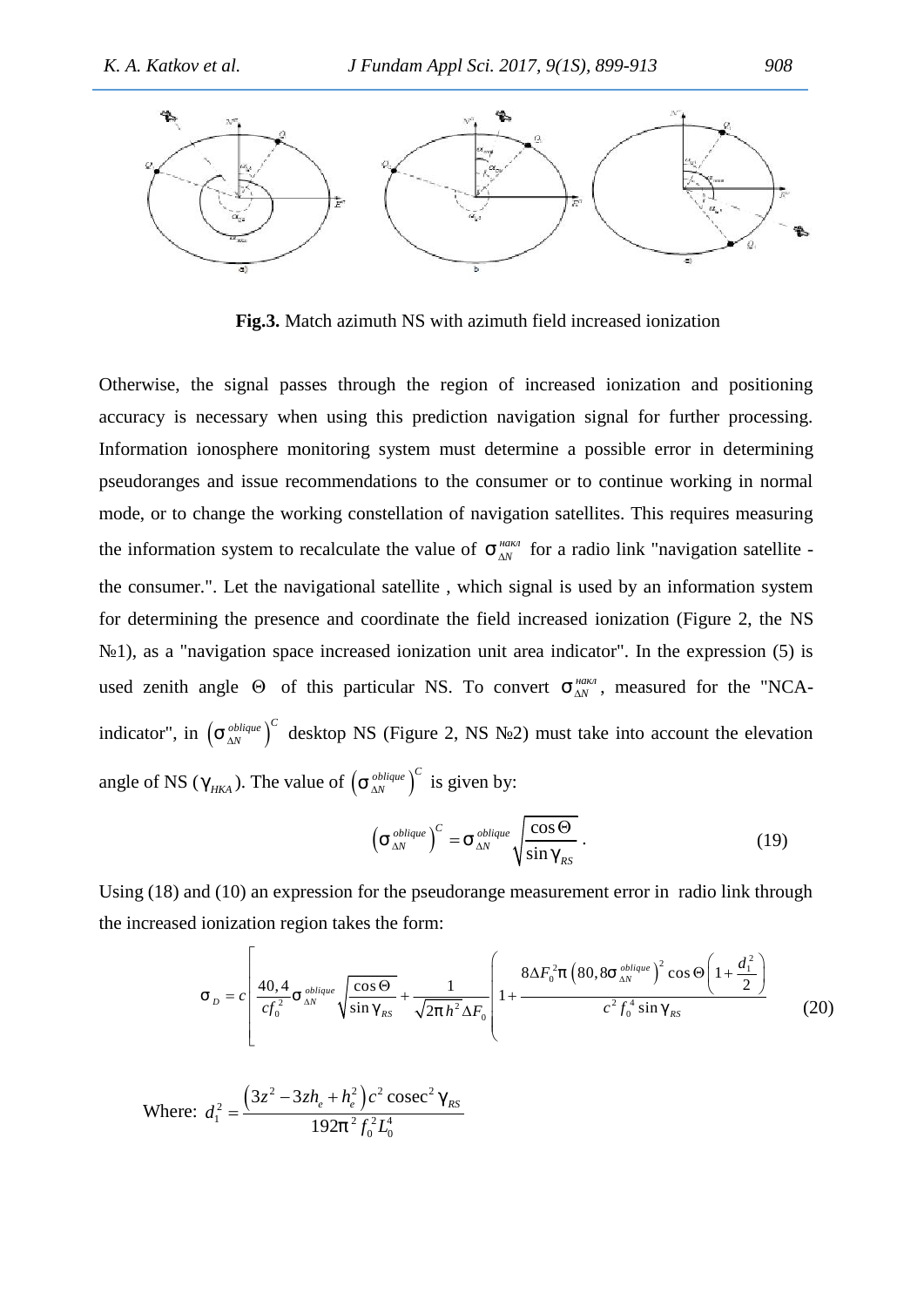

**Fig.3.** Match azimuth NS with azimuth field increased ionization

Otherwise, the signal passes through the region of increased ionization and positioning accuracy is necessary when using this prediction navigation signal for further processing. Information ionosphere monitoring system must determine a possible error in determining pseudoranges and issue recommendations to the consumer or to continue working in normal mode, or to change the working constellation of navigation satellites. This requires measuring the information system to recalculate the value of  $\uparrow_{\Delta N}$  for a radio link "navigation satellite the consumer.". Let the navigational satellite , which signal is used by an information system for determining the presence and coordinate the field increased ionization (Figure 2, the NS gh the region of increased ionization and positioning<br>this prediction navigation signal for further processing.<br>system must determine a possible error in determining<br>tions to the consumer or to continue working in normal<br>

№1), as a "navigation space increased ionization unit area indicator". In the expression (5) is used zenith angle  $\Theta$  of this particular NS. To convert  $\uparrow_{\Delta N}$ , measured for the "NCAindicator", in  $\left(\uparrow_{\Delta N}^{oblique}\right)^C$  desktop NS (Figure 2, NS – 2) must  $\int_{\Delta N}^{oblique}$  desktop NS (Figure 2, NS 2) must take into account the elevation angle of NS ( $x \in \mathbb{R}$ ). The value of  $\left(\frac{1}{A} \delta x\right)^C$  is given by:  $\left(\frac{\text{b}lique}{\Delta N}\right)^c$  is given by: atellite, which signal is used by an i<br>dinate the field increased ionization<br>ionization unit area indicator". In th<br>lar NS. To convert  $\uparrow_{\Delta N}$ , measure<br>Figure 2, NS 2) must take into acc<br> $\left(\frac{C}{N}\right)^{C}$  is given by:<br>atellite, which signal is used by an information system<br>dinate the field increased ionization (Figure 2, the NS<br>ionization unit area indicator". In the expression (5) is<br>lar NS. To convert  $\uparrow_{\Delta N}$ , measured for the "NC  $\text{NCA-}\n\text{elevation}$ <br>  $\text{through}$ <br>  $\left(\frac{19}{2}\right)$  (20) working constenation of navigation satellites. This requires measuring<br>to recalculate the value of  $\uparrow_{\Delta V}$  for a radio link "navigation satellite -<br>navigational satellite , which signal is used by an information system m to recalculate the value of  $\uparrow_{\Delta N}$  for a radio link "navigation satellite-<br>the navigational satellite, which signal is used by an information system<br>oresence and coordinate the field increased ionization (Figure 2, mate the value of  $\frac{1}{4}$  of or a ratio link havigation salemeted<br>and satellite, which signal is used by an information system<br>doordinate the field increased ionization (Figure 2, the NS<br>assession (5) is<br>articular NS. T *ch* is received that the state of  $P_{1,0}$  and the final material interaction of particular in the material interaction of the material of the material of  $P_{1,0}$  and information system researce and coordinate the field satellites. This requires measuring<br>a radio link "navigation satellite -<br>is used by an information system<br>assed ionization (Figure 2, the NS<br>mdicator". In the expression (5) is<br> $\uparrow_{\Delta N}$ , measured for the "NCA-<br>st take i mange the working constellation or navigation satellites. In<br>on system to recalculate the value of  $\uparrow_{\text{av}}$  for a radio link<br>". Let the navigational satellite, which signal is used by a<br>ng the presence and coordinate t e the value of  $\mathbf{t}_{\text{av}}$  for a radio link "navigation satellite -<br>
1 satellite , which signal is used by an information system<br>
bordinate the field increased ionization (Figure 2, the NS<br>
ed ionization unit area indic d issue recommendations to the consumer or to continue working in normal<br>ge the working constellation of navigation satellites. This requires measuring<br>system to recalculate the value of  $\uparrow_{\infty}$  for a radio link "navig the navigational satellite, which signal is used by an information system<br>
presence and coordinate the field increased ionization (Figure 2, the NS<br>
on space increased ionization unit area indicator". In the expression (5 on space increased ionization unit area indicator". In the<br>  $\Theta$  of this particular NS. To convert  $\uparrow_{\Delta N}$ , measured<br>  $\int^{\infty}$   $\int^{\infty}$  desktop NS (Figure 2, NS 2) must take into accord<br>
The value of  $\left(\uparrow \frac{\omega h}{\Delta N}\$ *e* increased ionization unit area indicator".<br> **a** is particular NS. To convert  $\uparrow_{\Delta N}$ , move  $\uparrow_{\Delta N}^C$  desktop NS (Figure 2, NS 2) must take in<br>
the value of  $\left(\uparrow_{\Delta N}^{oblique}\right)^C$  is given by:<br>  $\left(\uparrow_{\Delta N}^{oblique}\right)^C = \up$ rticular NS. To convert  $\dagger_{\Delta N}$ , measured for<br> *KS* (Figure 2, NS 2) must take into account<br>  $f_{\Delta N}^{oblique}$  or is given by:<br>  $\left(\dagger_{\Delta N}^{oblique}\right)^{C} = \dagger_{\Delta N}^{oblique} \sqrt{\dfrac{\cos \Theta}{\sin x_{RS}}}$ .<br>
For the pseudorange measurement error in ra sence and coordinate the field increased ionization (Figure 2, the NS<br>pace increased ionization unit area indicator". In the expression (5) is<br>of this particular NS. To convert  $\uparrow_{\Delta N}$ , measured for the "NCA-<br>desktop N

$$
\left(\top^{oblique}_{\Delta N}\right)^{C} = \top^{oblique}_{\Delta N} \sqrt{\frac{\cos \Theta}{\sin \chi_{RS}}}\,. \tag{19}
$$

Using (18) and (10) an expression for the pseudorange measurement error in radio link through the increased ionization region takes the form:

$$
(1_{\Delta N} - 1) \text{ Use } \text{KtQF} \text{ and } \text{Var}(X) = \text{Var}(X) \text{ and } \text{Var}(X) = \text{Var}(X) \text{ and } \text{Var}(X) = \text{Var}(X) \text{ and } \text{Var}(X) = \text{Var}(X) \text{ and } \text{Var}(X) = \text{Var}(X) \text{ and } \text{Var}(X) = \text{Var}(X) \text{ and } \text{Var}(X) = \text{Var}(X) \text{ and } \text{Var}(X) = \text{Var}(X) \text{ and } \text{Var}(X) = \text{Var}(X) \text{ and } \text{Var}(X) = \text{Var}(X) \text{ and } \text{Var}(X) = \text{Var}(X) \text{ and } \text{Var}(X) = \text{Var}(X) \text{ and } \text{Var}(X) = \text{Var}(X) \text{ and } \text{Var}(X) = \text{Var}(X) \text{ and } \text{Var}(X) = \text{Var}(X) \text{ and } \text{Var}(X) = \text{Var}(X) \text{ and } \text{Var}(X) = \text{Var}(X) \text{ and } \text{Var}(X) = \text{Var}(X) \text{ and } \text{Var}(X) = \text{Var}(X) \text{ and } \text{Var}(X) = \text{Var}(X) \text{ and } \text{Var}(X) = \text{Var}(X) \text{ and } \text{Var}(X) = \text{Var}(X) \text{ and } \text{Var}(X) = \text{Var}(X) \text{ and } \text{Var}(X) = \text{Var}(X) \text{ and } \text{Var}(X) = \text{Var}(X) \text{ and } \text{Var}(X) = \text{Var}(X) \text{ and } \text{Var}(X) = \text{Var}(X) \text{ and } \text{Var}(X) = \text{Var}(X) \text{ and } \text{Var}(X) = \text{Var}(X) \text{ and } \text{Var}(X) = \text{Var}(X) \text{ and } \text{Var}(X) = \text{Var}(X) \text{ and } \text{Var}(X) = \text{Var}(X) \text{ and } \text{Var}(X) = \text{Var}(X) \text{ and } \text{Var}(X) = \text{Var}(X) \text{ and } \text{Var}(X) = \text{Var}(X) \text{ and } \text{Var}(X) = \text{Var}(X) \text{ and } \text{Var}(X) = \text{
$$

Where:  $d_1^2 = \frac{(3z^2 - 3zh_e + h_e^2)c^2 \csc^2 x_{RS}}{2 \csc^2 x^2}$  $192f^2f_0^2L_0^4$  $d_1^2 = \frac{(1.0052 \times 2.005)}{10052 \times 2.000}$  $X_{RS}$  $f^2 f_0^2 L_0^4$  $=$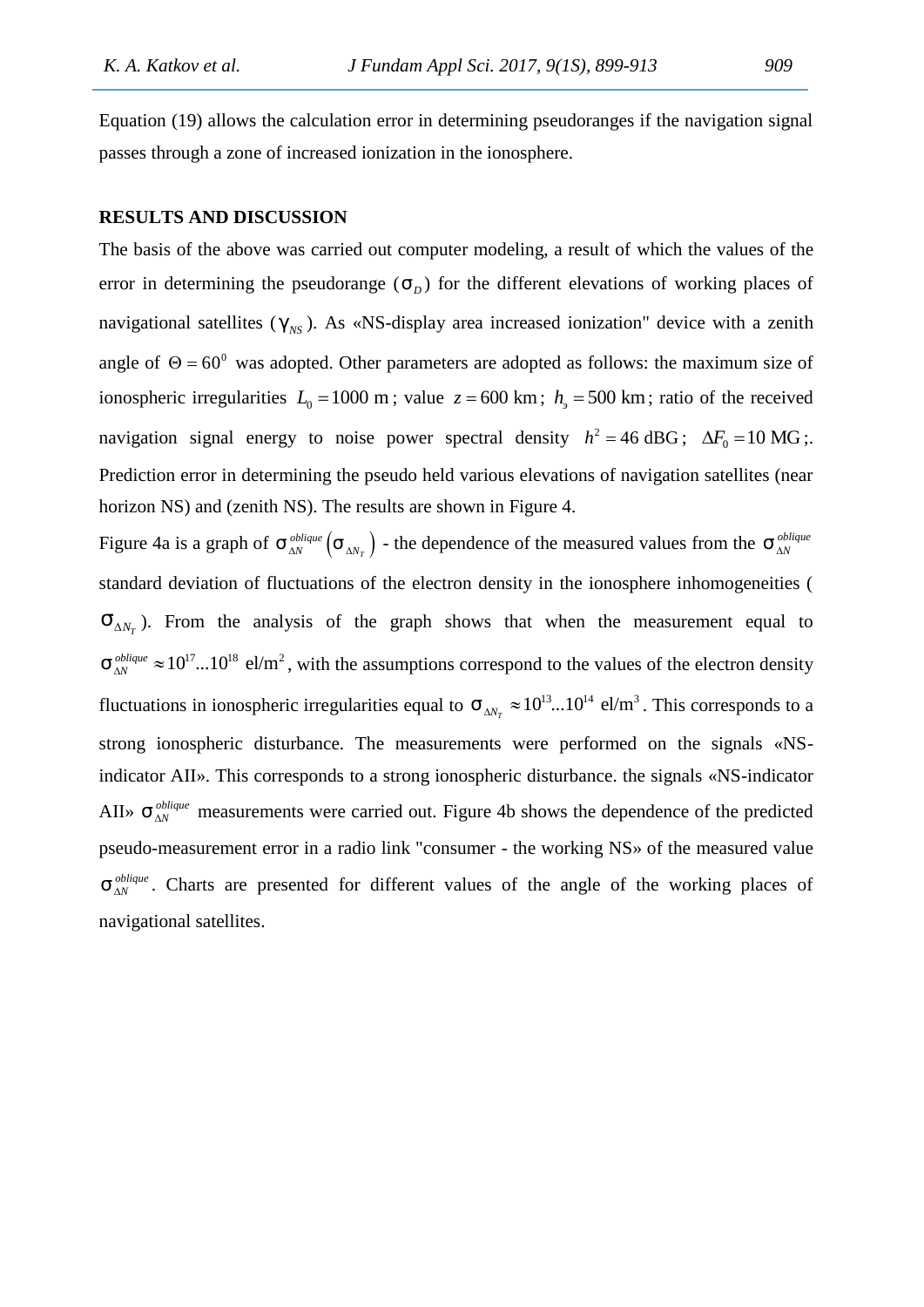## **RESULTS AND DISCUSSION**

The basis of the above was carried out computer modeling, a result of which the values of the error in determining the pseudorange  $(\dagger_p)$  for the different elevations of working places of navigational satellites  $(X_{NS})$ . As «NS-display area increased ionization" device with a zenith **Equation** (19) allows the calculation error in determining pseudoranges if the navigation signal<br>passes through a zone of increased ionization in the ionosphere.<br>**RESULTS AND DISCUSSION**<br>The basis of the above was carrie ionospheric irregularities  $L_0 = 1000$  m; value  $z = 600$  km; *h* = 500 km; ratio of the received *K. A. Katkov et al. J. Fundam Appl Sci. 2017, 9(15), 899-913* 909<br>
Equation (19) allows the calculation error in determining pseudoranges if the navigation signal<br>
passes through a zone of increased ionization in the i Prediction error in determining the pseudo held various elevations of navigation satellites (near horizon NS) and (zenith NS). The results are shown in Figure 4. *N*<sub>*Ns*</sub>). As «NS-display area increased io:<br>pted. Other parameters are adopted as<br> $L_0 = 1000 \text{ m}$ ; value  $z = 600 \text{ km}$ ;  $h =$ <br>to noise power spectral density<br>ining the pseudo held various elevation<br>S). The results are s *J Fundam Appl Sci. 2017, 9(1S), 899-913* 9999<br>
e calculation error in determining pseudoranges if the navigation signal<br>
fincreased ionization in the ionosphere.<br> **ULESION**<br>
was carried out computer modeling, a result of **RESULTS AND DISCUSSION**<br>The basis of the above was carried out computer modeling, a result of which the values of the<br>error in determining the pseudorange  $(1_{p})$  for the different elevations of working places of<br>navigat

Figure 4a is a graph of  $\uparrow_{\Delta N}^{oblique}(\uparrow_{\Delta N_T})$  - the dependence of the measured values from the  $\uparrow_{\Delta N}^{oblique}$ standard deviation of fluctuations of the electron density in the ionosphere inhomogeneities (  $\mathcal{T}_{\Delta N_T}$ ). From the analysis of the graph shows that when the measurement equal to The basis of the above was carried out computer modening, a result of which the values of the<br>error in determining the pseudorange  $(\uparrow_{D})$  for the different elevations of working places of<br>anvigational satellites  $(x_{\text{av$ strong ionospheric disturbance. The measurements were performed on the signals «NSindicator AII». This corresponds to a strong ionospheric disturbance. the signals «NS-indicator AII»  $\uparrow_{\Delta N}^{oblique}$  measurements were carried out. Figure 4b shows the dependence of the predicted pseudo-measurement error in a radio link "consumer - the working NS» of the measured value *oblique* Charts  $\uparrow_{\Delta N}^{oblique}$ . Charts are presented for different values of the angle of the working places of navigational satellites.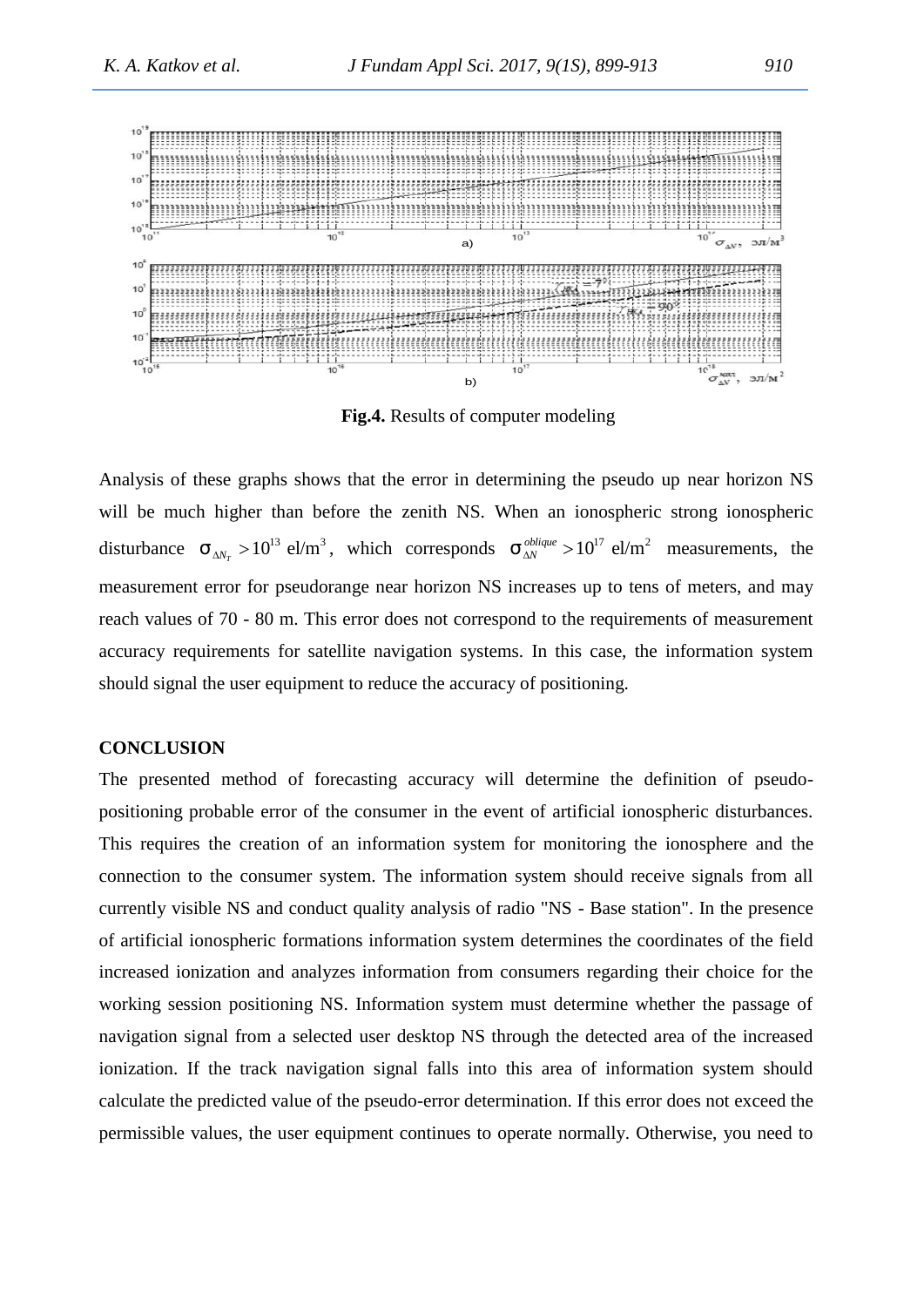

**Fig.4.** Results of computer modeling

Analysis of these graphs shows that the error in determining the pseudo up near horizon NS will be much higher than before the zenith NS. When an ionospheric strong ionospheric measurement error for pseudorange near horizon NS increases up to tens of meters, and may reach values of 70 - 80 m. This error does not correspond to the requirements of measurement accuracy requirements for satellite navigation systems. In this case, the information system should signal the user equipment to reduce the accuracy of positioning.

## **CONCLUSION**

The presented method of forecasting accuracy will determine the definition of pseudo positioning probable error of the consumer in the event of artificial ionospheric disturbances. This requires the creation of an information system for monitoring the ionosphere and the connection to the consumer system. The information system should receive signals from all currently visible NS and conduct quality analysis of radio "NS - Base station". In the presence of artificial ionospheric formations information system determines the coordinates of the field increased ionization and analyzes information from consumers regarding their choice for the working session positioning NS. Information system must determine whether the passage of navigation signal from a selected user desktop NS through the detected area of the increased ionization. If the track navigation signal falls into this area of information system should calculate the predicted value of the pseudo-error determination. If this error does not exceed the permissible values, the user equipment continues to operate normally. Otherwise, you need to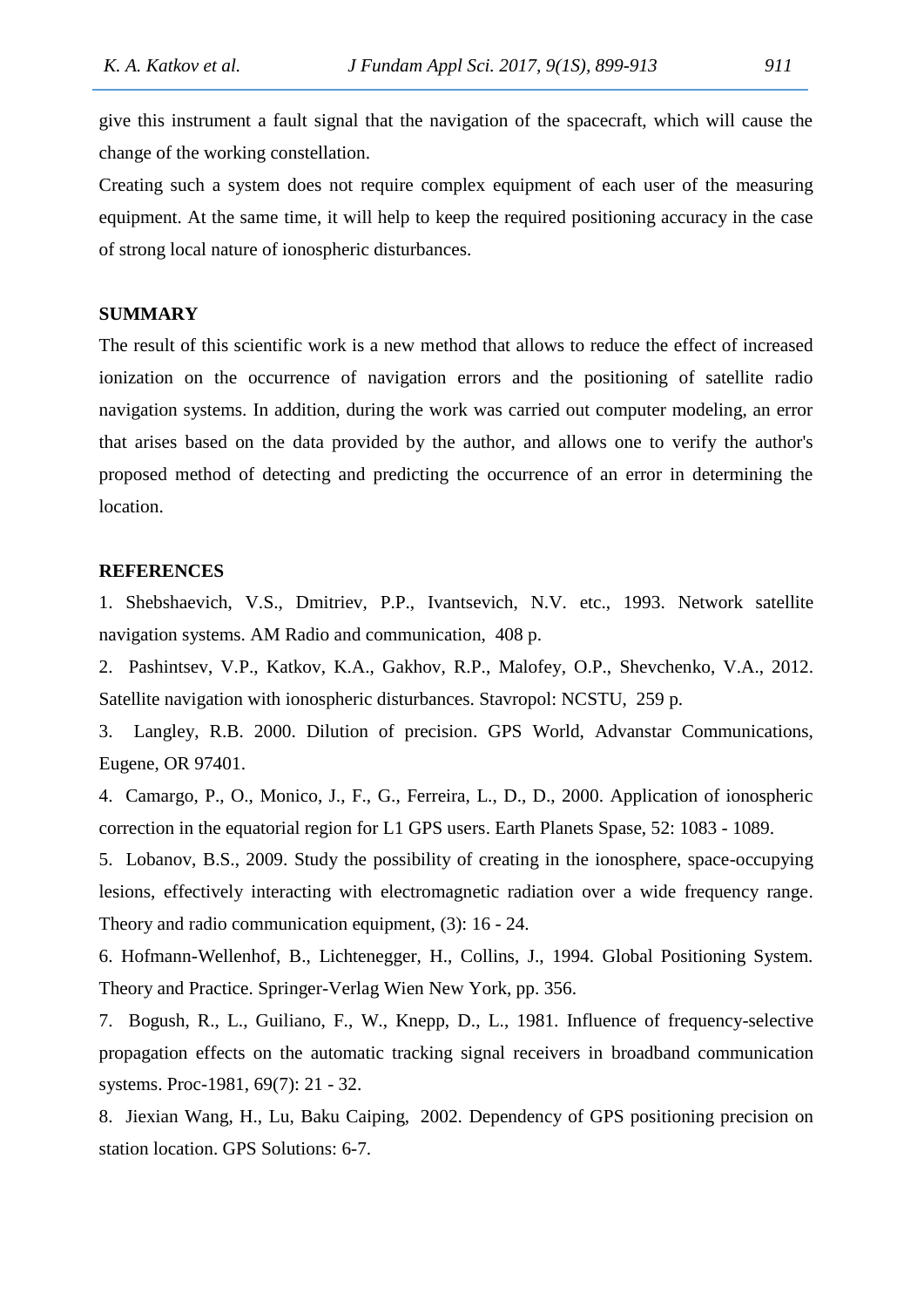give this instrument a fault signal that the navigation of the spacecraft, which will cause the change of the working constellation.

Creating such a system does not require complex equipment of each user of the measuring equipment. At the same time, it will help to keep the required positioning accuracy in the case of strong local nature of ionospheric disturbances.

## **SUMMARY**

The result of this scientific work is a new method that allows to reduce the effect of increased ionization on the occurrence of navigation errors and the positioning of satellite radio navigation systems. In addition, during the work was carried out computer modeling, an error that arises based on the data provided by the author, and allows one to verify the author's proposed method of detecting and predicting the occurrence of an error in determining the location.

## **REFERENCES**

1. Shebshaevich, V.S., Dmitriev, P.P., Ivantsevich, N.V. etc., 1993. Network satellite navigation systems. AM Radio and communication, 408 p.

2. Pashintsev, V.P., Katkov, K.A., Gakhov, R.P., Malofey, O.P., Shevchenko, V.A., 2012. Satellite navigation with ionospheric disturbances. Stavropol: NCSTU, 259 p.

3. Langley, R.B. 2000. Dilution of precision. GPS World, Advanstar Communications, Eugene, OR 97401.

4. Camargo, P., O., Monico, J., F., G., Ferreira, L., D., D., 2000. Application of ionospheric correction in the equatorial region for L1 GPS users. Earth Planets Spase, 52: 1083 - 1089.

5. Lobanov, B.S., 2009. Study the possibility of creating in the ionosphere, space-occupying lesions, effectively interacting with electromagnetic radiation over a wide frequency range. Theory and radio communication equipment, (3): 16 - 24.

6. Hofmann-Wellenhof, B., Lichtenegger, H., Collins, J., 1994. Global Positioning System. Theory and Practice. Springer-Verlag Wien New York, pp. 356.

7. Bogush, R., L., Guiliano, F., W., Knepp, D., L., 1981. Influence of frequency-selective propagation effects on the automatic tracking signal receivers in broadband communication systems. Proc-1981, 69(7): 21 - 32.

8. Jiexian Wang, H., Lu, Baku Caiping, 2002. Dependency of GPS positioning precision on station location. GPS Solutions: 6-7.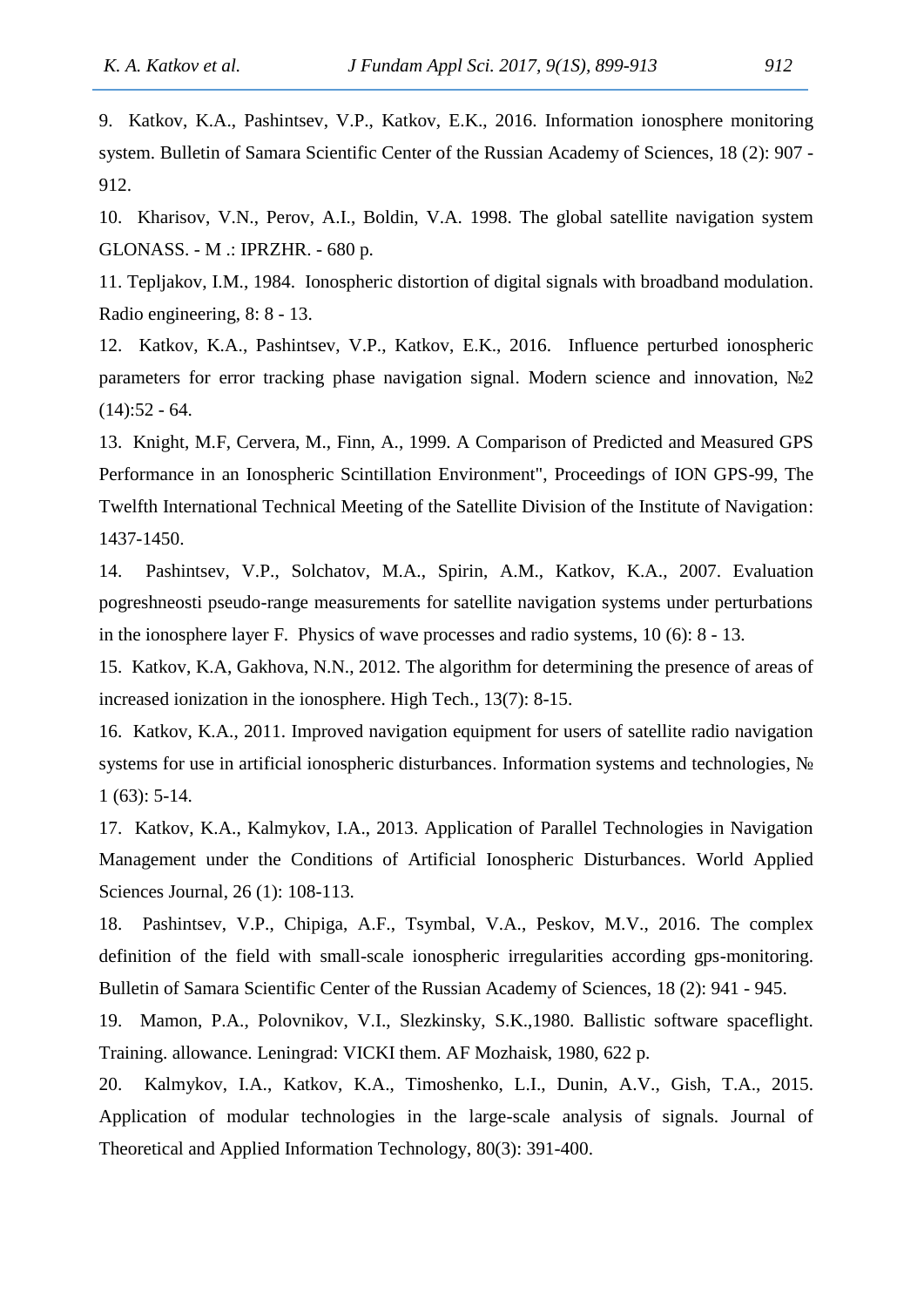9. Katkov, K.A., Pashintsev, V.P., Katkov, E.K., 2016. Information ionosphere monitoring system. Bulletin of Samara Scientific Center of the Russian Academy of Sciences, 18 (2): 907 - 912.

10. Kharisov, V.N., Perov, A.I., Boldin, V.A. 1998. The global satellite navigation system GLONASS. - M .: IPRZHR. - 680 p.

11. Tepljakov, I.M., 1984. Ionospheric distortion of digital signals with broadband modulation. Radio engineering, 8: 8 - 13.

12. Katkov, K.A., Pashintsev, V.P., Katkov, E.K., 2016. Influence perturbed ionospheric parameters for error tracking phase navigation signal. Modern science and innovation, 2  $(14):52 - 64.$ 

13. Knight, M.F, Cervera, M., Finn, A., 1999. A Comparison of Predicted and Measured GPS Performance in an Ionospheric Scintillation Environment", Proceedings of ION GPS-99, The Twelfth International Technical Meeting of the Satellite Division of the Institute of Navigation: 1437-1450.

14. Pashintsev, V.P., Solchatov, M.A., Spirin, A.M., Katkov, K.A., 2007. Evaluation pogreshneosti pseudo-range measurements for satellite navigation systems under perturbations in the ionosphere layer F. Physics of wave processes and radio systems, 10 (6): 8 - 13.

15. Katkov, K.A, Gakhova, N.N., 2012. The algorithm for determining the presence of areas of increased ionization in the ionosphere. High Tech., 13(7): 8-15.

16. Katkov, K.A., 2011. Improved navigation equipment for users of satellite radio navigation systems for use in artificial ionospheric disturbances. Information systems and technologies, 1 (63): 5-14.

17. Katkov, K.A., Kalmykov, I.A., 2013. Application of Parallel Technologies in Navigation Management under the Conditions of Artificial Ionospheric Disturbances. World Applied Sciences Journal, 26 (1): 108-113.

18. Pashintsev, V.P., Chipiga, A.F., Tsymbal, V.A., Peskov, M.V., 2016. The complex definition of the field with small-scale ionospheric irregularities according gps-monitoring. Bulletin of Samara Scientific Center of the Russian Academy of Sciences, 18 (2): 941 - 945.

19. Mamon, P.A., Polovnikov, V.I., Slezkinsky, S.K.,1980. Ballistic software spaceflight. Training. allowance. Leningrad: VICKI them. AF Mozhaisk, 1980, 622 p.

20. Kalmykov, I.A., Katkov, K.A., Timoshenko, L.I., Dunin, A.V., Gish, T.A., 2015. Application of modular technologies in the large-scale analysis of signals. Journal of Theoretical and Applied Information Technology, 80(3): 391-400.